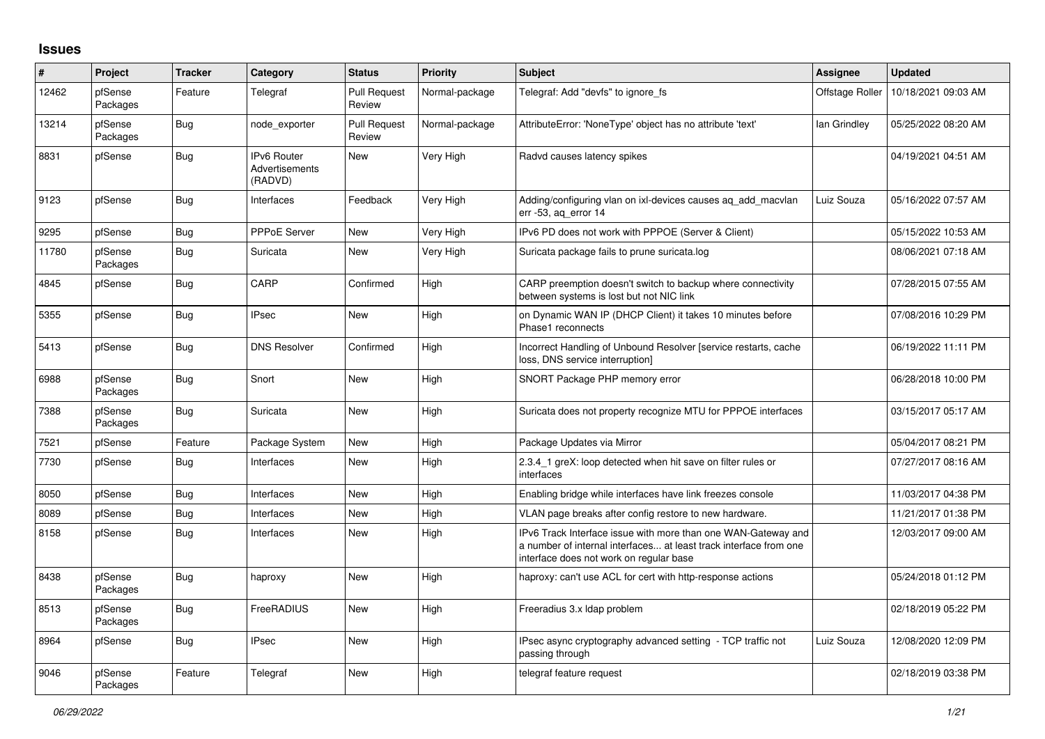## **Issues**

| #     | Project             | <b>Tracker</b> | Category                                 | <b>Status</b>                 | <b>Priority</b> | <b>Subject</b>                                                                                                                                                                | <b>Assignee</b> | <b>Updated</b>      |
|-------|---------------------|----------------|------------------------------------------|-------------------------------|-----------------|-------------------------------------------------------------------------------------------------------------------------------------------------------------------------------|-----------------|---------------------|
| 12462 | pfSense<br>Packages | Feature        | Telegraf                                 | <b>Pull Request</b><br>Review | Normal-package  | Telegraf: Add "devfs" to ignore fs                                                                                                                                            | Offstage Roller | 10/18/2021 09:03 AM |
| 13214 | pfSense<br>Packages | Bug            | node exporter                            | <b>Pull Request</b><br>Review | Normal-package  | AttributeError: 'NoneType' object has no attribute 'text'                                                                                                                     | lan Grindley    | 05/25/2022 08:20 AM |
| 8831  | pfSense             | Bug            | IPv6 Router<br>Advertisements<br>(RADVD) | <b>New</b>                    | Very High       | Radvd causes latency spikes                                                                                                                                                   |                 | 04/19/2021 04:51 AM |
| 9123  | pfSense             | <b>Bug</b>     | Interfaces                               | Feedback                      | Very High       | Adding/configuring vlan on ixl-devices causes aq_add_macvlan<br>err -53, aq_error 14                                                                                          | Luiz Souza      | 05/16/2022 07:57 AM |
| 9295  | pfSense             | Bug            | <b>PPPoE Server</b>                      | <b>New</b>                    | Very High       | IPv6 PD does not work with PPPOE (Server & Client)                                                                                                                            |                 | 05/15/2022 10:53 AM |
| 11780 | pfSense<br>Packages | Bug            | Suricata                                 | <b>New</b>                    | Very High       | Suricata package fails to prune suricata.log                                                                                                                                  |                 | 08/06/2021 07:18 AM |
| 4845  | pfSense             | <b>Bug</b>     | CARP                                     | Confirmed                     | High            | CARP preemption doesn't switch to backup where connectivity<br>between systems is lost but not NIC link                                                                       |                 | 07/28/2015 07:55 AM |
| 5355  | pfSense             | <b>Bug</b>     | <b>IPsec</b>                             | <b>New</b>                    | High            | on Dynamic WAN IP (DHCP Client) it takes 10 minutes before<br>Phase1 reconnects                                                                                               |                 | 07/08/2016 10:29 PM |
| 5413  | pfSense             | Bug            | <b>DNS Resolver</b>                      | Confirmed                     | High            | Incorrect Handling of Unbound Resolver [service restarts, cache<br>loss, DNS service interruption]                                                                            |                 | 06/19/2022 11:11 PM |
| 6988  | pfSense<br>Packages | Bug            | Snort                                    | <b>New</b>                    | High            | SNORT Package PHP memory error                                                                                                                                                |                 | 06/28/2018 10:00 PM |
| 7388  | pfSense<br>Packages | Bug            | Suricata                                 | <b>New</b>                    | High            | Suricata does not property recognize MTU for PPPOE interfaces                                                                                                                 |                 | 03/15/2017 05:17 AM |
| 7521  | pfSense             | Feature        | Package System                           | New                           | High            | Package Updates via Mirror                                                                                                                                                    |                 | 05/04/2017 08:21 PM |
| 7730  | pfSense             | <b>Bug</b>     | Interfaces                               | <b>New</b>                    | High            | 2.3.4 1 greX: loop detected when hit save on filter rules or<br>interfaces                                                                                                    |                 | 07/27/2017 08:16 AM |
| 8050  | pfSense             | Bug            | Interfaces                               | New                           | High            | Enabling bridge while interfaces have link freezes console                                                                                                                    |                 | 11/03/2017 04:38 PM |
| 8089  | pfSense             | <b>Bug</b>     | Interfaces                               | <b>New</b>                    | High            | VLAN page breaks after config restore to new hardware.                                                                                                                        |                 | 11/21/2017 01:38 PM |
| 8158  | pfSense             | Bug            | Interfaces                               | <b>New</b>                    | High            | IPv6 Track Interface issue with more than one WAN-Gateway and<br>a number of internal interfaces at least track interface from one<br>interface does not work on regular base |                 | 12/03/2017 09:00 AM |
| 8438  | pfSense<br>Packages | <b>Bug</b>     | haproxy                                  | <b>New</b>                    | High            | haproxy: can't use ACL for cert with http-response actions                                                                                                                    |                 | 05/24/2018 01:12 PM |
| 8513  | pfSense<br>Packages | <b>Bug</b>     | FreeRADIUS                               | New                           | High            | Freeradius 3.x Idap problem                                                                                                                                                   |                 | 02/18/2019 05:22 PM |
| 8964  | pfSense             | Bug            | <b>IPsec</b>                             | <b>New</b>                    | High            | IPsec async cryptography advanced setting - TCP traffic not<br>passing through                                                                                                | Luiz Souza      | 12/08/2020 12:09 PM |
| 9046  | pfSense<br>Packages | Feature        | Telegraf                                 | <b>New</b>                    | High            | telegraf feature request                                                                                                                                                      |                 | 02/18/2019 03:38 PM |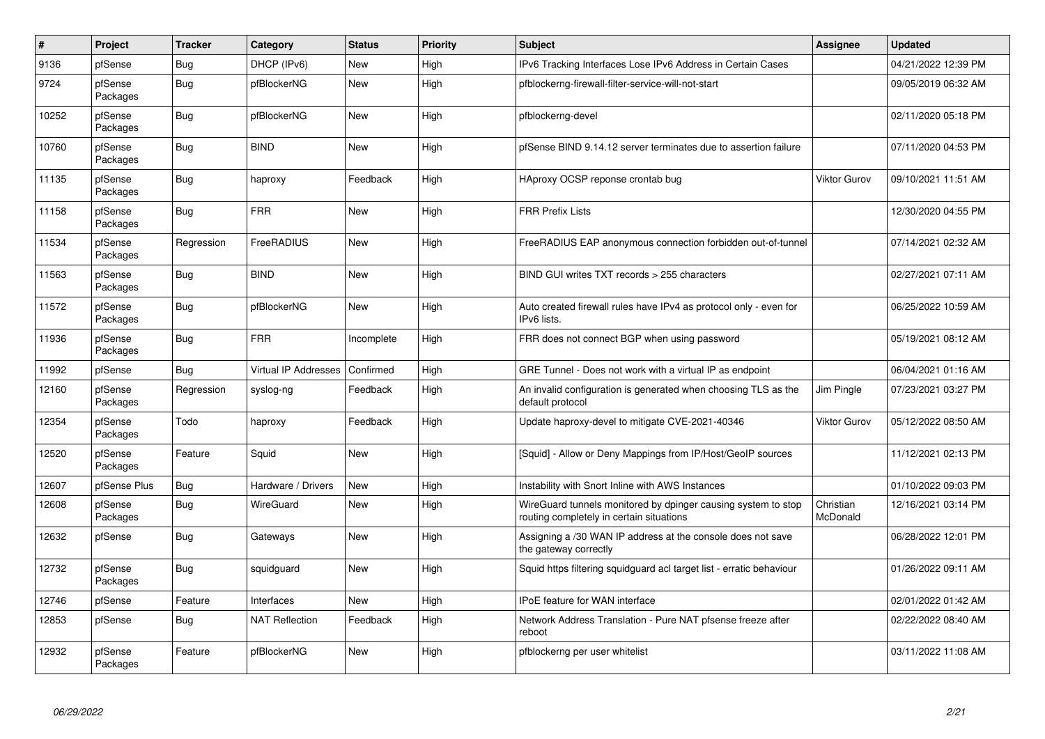| #     | Project             | <b>Tracker</b> | Category                    | <b>Status</b> | <b>Priority</b> | <b>Subject</b>                                                                                            | <b>Assignee</b>       | <b>Updated</b>      |
|-------|---------------------|----------------|-----------------------------|---------------|-----------------|-----------------------------------------------------------------------------------------------------------|-----------------------|---------------------|
| 9136  | pfSense             | Bug            | DHCP (IPv6)                 | <b>New</b>    | High            | IPv6 Tracking Interfaces Lose IPv6 Address in Certain Cases                                               |                       | 04/21/2022 12:39 PM |
| 9724  | pfSense<br>Packages | <b>Bug</b>     | pfBlockerNG                 | <b>New</b>    | High            | pfblockerng-firewall-filter-service-will-not-start                                                        |                       | 09/05/2019 06:32 AM |
| 10252 | pfSense<br>Packages | Bug            | pfBlockerNG                 | New           | High            | pfblockerng-devel                                                                                         |                       | 02/11/2020 05:18 PM |
| 10760 | pfSense<br>Packages | <b>Bug</b>     | <b>BIND</b>                 | <b>New</b>    | High            | pfSense BIND 9.14.12 server terminates due to assertion failure                                           |                       | 07/11/2020 04:53 PM |
| 11135 | pfSense<br>Packages | Bug            | haproxy                     | Feedback      | High            | HAproxy OCSP reponse crontab bug                                                                          | Viktor Gurov          | 09/10/2021 11:51 AM |
| 11158 | pfSense<br>Packages | Bug            | <b>FRR</b>                  | New           | High            | <b>FRR Prefix Lists</b>                                                                                   |                       | 12/30/2020 04:55 PM |
| 11534 | pfSense<br>Packages | Regression     | FreeRADIUS                  | New           | High            | FreeRADIUS EAP anonymous connection forbidden out-of-tunnel                                               |                       | 07/14/2021 02:32 AM |
| 11563 | pfSense<br>Packages | <b>Bug</b>     | <b>BIND</b>                 | <b>New</b>    | High            | BIND GUI writes TXT records > 255 characters                                                              |                       | 02/27/2021 07:11 AM |
| 11572 | pfSense<br>Packages | <b>Bug</b>     | pfBlockerNG                 | <b>New</b>    | High            | Auto created firewall rules have IPv4 as protocol only - even for<br>IPv6 lists.                          |                       | 06/25/2022 10:59 AM |
| 11936 | pfSense<br>Packages | <b>Bug</b>     | <b>FRR</b>                  | Incomplete    | High            | FRR does not connect BGP when using password                                                              |                       | 05/19/2021 08:12 AM |
| 11992 | pfSense             | Bug            | <b>Virtual IP Addresses</b> | Confirmed     | High            | GRE Tunnel - Does not work with a virtual IP as endpoint                                                  |                       | 06/04/2021 01:16 AM |
| 12160 | pfSense<br>Packages | Regression     | syslog-ng                   | Feedback      | High            | An invalid configuration is generated when choosing TLS as the<br>default protocol                        | Jim Pingle            | 07/23/2021 03:27 PM |
| 12354 | pfSense<br>Packages | Todo           | haproxy                     | Feedback      | High            | Update haproxy-devel to mitigate CVE-2021-40346                                                           | Viktor Gurov          | 05/12/2022 08:50 AM |
| 12520 | pfSense<br>Packages | Feature        | Squid                       | <b>New</b>    | High            | [Squid] - Allow or Deny Mappings from IP/Host/GeoIP sources                                               |                       | 11/12/2021 02:13 PM |
| 12607 | pfSense Plus        | Bug            | Hardware / Drivers          | <b>New</b>    | High            | Instability with Snort Inline with AWS Instances                                                          |                       | 01/10/2022 09:03 PM |
| 12608 | pfSense<br>Packages | Bug            | WireGuard                   | <b>New</b>    | High            | WireGuard tunnels monitored by dpinger causing system to stop<br>routing completely in certain situations | Christian<br>McDonald | 12/16/2021 03:14 PM |
| 12632 | pfSense             | <b>Bug</b>     | Gateways                    | <b>New</b>    | High            | Assigning a /30 WAN IP address at the console does not save<br>the gateway correctly                      |                       | 06/28/2022 12:01 PM |
| 12732 | pfSense<br>Packages | Bug            | squidguard                  | <b>New</b>    | High            | Squid https filtering squidguard acl target list - erratic behaviour                                      |                       | 01/26/2022 09:11 AM |
| 12746 | pfSense             | Feature        | Interfaces                  | New           | High            | IPoE feature for WAN interface                                                                            |                       | 02/01/2022 01:42 AM |
| 12853 | pfSense             | <b>Bug</b>     | <b>NAT Reflection</b>       | Feedback      | High            | Network Address Translation - Pure NAT pfsense freeze after<br>reboot                                     |                       | 02/22/2022 08:40 AM |
| 12932 | pfSense<br>Packages | Feature        | pfBlockerNG                 | <b>New</b>    | High            | pfblockerng per user whitelist                                                                            |                       | 03/11/2022 11:08 AM |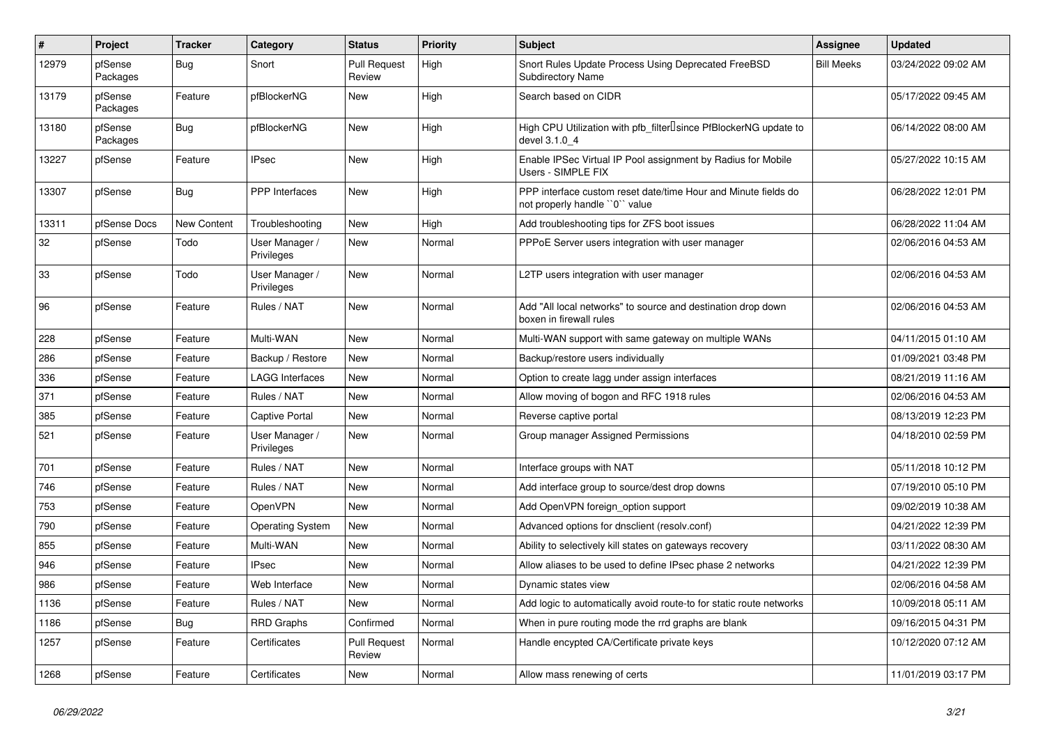| #     | Project             | <b>Tracker</b> | Category                     | <b>Status</b>                 | <b>Priority</b> | <b>Subject</b>                                                                                  | <b>Assignee</b>   | <b>Updated</b>      |
|-------|---------------------|----------------|------------------------------|-------------------------------|-----------------|-------------------------------------------------------------------------------------------------|-------------------|---------------------|
| 12979 | pfSense<br>Packages | Bug            | Snort                        | <b>Pull Request</b><br>Review | High            | Snort Rules Update Process Using Deprecated FreeBSD<br><b>Subdirectory Name</b>                 | <b>Bill Meeks</b> | 03/24/2022 09:02 AM |
| 13179 | pfSense<br>Packages | Feature        | pfBlockerNG                  | New                           | High            | Search based on CIDR                                                                            |                   | 05/17/2022 09:45 AM |
| 13180 | pfSense<br>Packages | <b>Bug</b>     | pfBlockerNG                  | <b>New</b>                    | High            | High CPU Utilization with pfb_filter <sup>[]</sup> since PfBlockerNG update to<br>devel 3.1.0 4 |                   | 06/14/2022 08:00 AM |
| 13227 | pfSense             | Feature        | <b>IPsec</b>                 | New                           | High            | Enable IPSec Virtual IP Pool assignment by Radius for Mobile<br>Users - SIMPLE FIX              |                   | 05/27/2022 10:15 AM |
| 13307 | pfSense             | Bug            | <b>PPP</b> Interfaces        | New                           | High            | PPP interface custom reset date/time Hour and Minute fields do<br>not properly handle "0" value |                   | 06/28/2022 12:01 PM |
| 13311 | pfSense Docs        | New Content    | Troubleshooting              | New                           | High            | Add troubleshooting tips for ZFS boot issues                                                    |                   | 06/28/2022 11:04 AM |
| 32    | pfSense             | Todo           | User Manager /<br>Privileges | New                           | Normal          | PPPoE Server users integration with user manager                                                |                   | 02/06/2016 04:53 AM |
| 33    | pfSense             | Todo           | User Manager /<br>Privileges | New                           | Normal          | L2TP users integration with user manager                                                        |                   | 02/06/2016 04:53 AM |
| 96    | pfSense             | Feature        | Rules / NAT                  | New                           | Normal          | Add "All local networks" to source and destination drop down<br>boxen in firewall rules         |                   | 02/06/2016 04:53 AM |
| 228   | pfSense             | Feature        | Multi-WAN                    | <b>New</b>                    | Normal          | Multi-WAN support with same gateway on multiple WANs                                            |                   | 04/11/2015 01:10 AM |
| 286   | pfSense             | Feature        | Backup / Restore             | <b>New</b>                    | Normal          | Backup/restore users individually                                                               |                   | 01/09/2021 03:48 PM |
| 336   | pfSense             | Feature        | <b>LAGG Interfaces</b>       | <b>New</b>                    | Normal          | Option to create lagg under assign interfaces                                                   |                   | 08/21/2019 11:16 AM |
| 371   | pfSense             | Feature        | Rules / NAT                  | <b>New</b>                    | Normal          | Allow moving of bogon and RFC 1918 rules                                                        |                   | 02/06/2016 04:53 AM |
| 385   | pfSense             | Feature        | Captive Portal               | New                           | Normal          | Reverse captive portal                                                                          |                   | 08/13/2019 12:23 PM |
| 521   | pfSense             | Feature        | User Manager /<br>Privileges | New                           | Normal          | Group manager Assigned Permissions                                                              |                   | 04/18/2010 02:59 PM |
| 701   | pfSense             | Feature        | Rules / NAT                  | New                           | Normal          | Interface groups with NAT                                                                       |                   | 05/11/2018 10:12 PM |
| 746   | pfSense             | Feature        | Rules / NAT                  | New                           | Normal          | Add interface group to source/dest drop downs                                                   |                   | 07/19/2010 05:10 PM |
| 753   | pfSense             | Feature        | OpenVPN                      | <b>New</b>                    | Normal          | Add OpenVPN foreign option support                                                              |                   | 09/02/2019 10:38 AM |
| 790   | pfSense             | Feature        | <b>Operating System</b>      | New                           | Normal          | Advanced options for dnsclient (resolv.conf)                                                    |                   | 04/21/2022 12:39 PM |
| 855   | pfSense             | Feature        | Multi-WAN                    | New                           | Normal          | Ability to selectively kill states on gateways recovery                                         |                   | 03/11/2022 08:30 AM |
| 946   | pfSense             | Feature        | <b>IPsec</b>                 | New                           | Normal          | Allow aliases to be used to define IPsec phase 2 networks                                       |                   | 04/21/2022 12:39 PM |
| 986   | pfSense             | Feature        | Web Interface                | New                           | Normal          | Dynamic states view                                                                             |                   | 02/06/2016 04:58 AM |
| 1136  | pfSense             | Feature        | Rules / NAT                  | <b>New</b>                    | Normal          | Add logic to automatically avoid route-to for static route networks                             |                   | 10/09/2018 05:11 AM |
| 1186  | pfSense             | <b>Bug</b>     | <b>RRD Graphs</b>            | Confirmed                     | Normal          | When in pure routing mode the rrd graphs are blank                                              |                   | 09/16/2015 04:31 PM |
| 1257  | pfSense             | Feature        | Certificates                 | <b>Pull Request</b><br>Review | Normal          | Handle encypted CA/Certificate private keys                                                     |                   | 10/12/2020 07:12 AM |
| 1268  | pfSense             | Feature        | Certificates                 | <b>New</b>                    | Normal          | Allow mass renewing of certs                                                                    |                   | 11/01/2019 03:17 PM |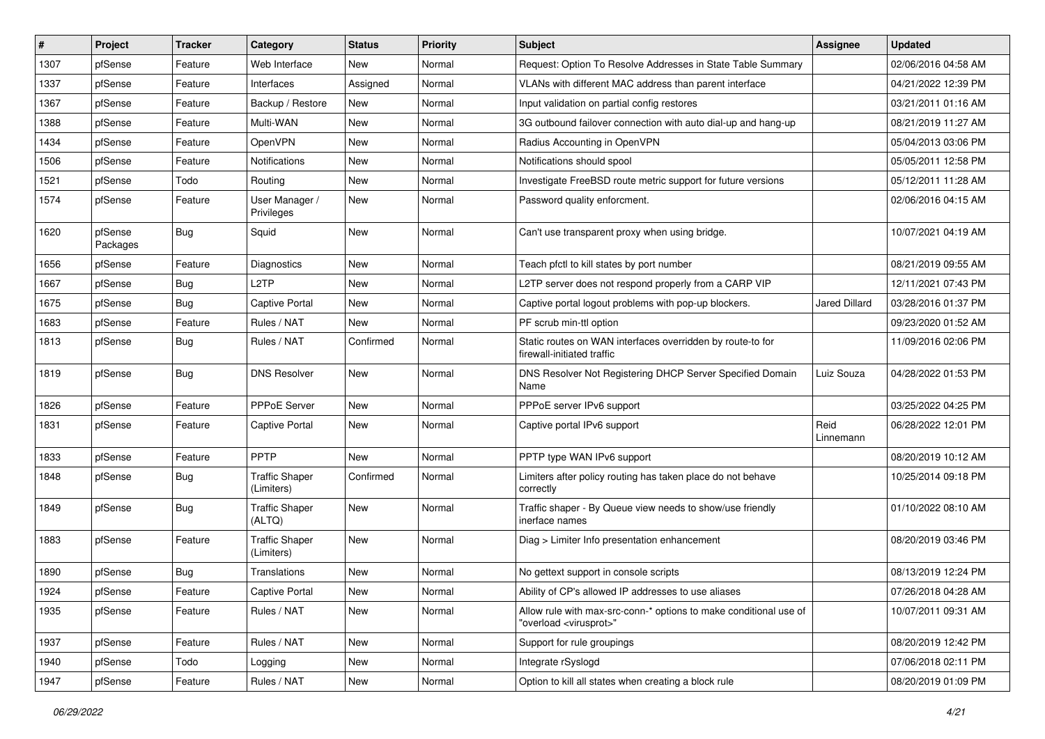| ∦    | Project             | <b>Tracker</b> | Category                            | <b>Status</b> | <b>Priority</b> | Subject                                                                                                 | <b>Assignee</b>   | <b>Updated</b>      |
|------|---------------------|----------------|-------------------------------------|---------------|-----------------|---------------------------------------------------------------------------------------------------------|-------------------|---------------------|
| 1307 | pfSense             | Feature        | Web Interface                       | New           | Normal          | Request: Option To Resolve Addresses in State Table Summary                                             |                   | 02/06/2016 04:58 AM |
| 1337 | pfSense             | Feature        | Interfaces                          | Assigned      | Normal          | VLANs with different MAC address than parent interface                                                  |                   | 04/21/2022 12:39 PM |
| 1367 | pfSense             | Feature        | Backup / Restore                    | New           | Normal          | Input validation on partial config restores                                                             |                   | 03/21/2011 01:16 AM |
| 1388 | pfSense             | Feature        | Multi-WAN                           | New           | Normal          | 3G outbound failover connection with auto dial-up and hang-up                                           |                   | 08/21/2019 11:27 AM |
| 1434 | pfSense             | Feature        | OpenVPN                             | New           | Normal          | Radius Accounting in OpenVPN                                                                            |                   | 05/04/2013 03:06 PM |
| 1506 | pfSense             | Feature        | Notifications                       | New           | Normal          | Notifications should spool                                                                              |                   | 05/05/2011 12:58 PM |
| 1521 | pfSense             | Todo           | Routing                             | New           | Normal          | Investigate FreeBSD route metric support for future versions                                            |                   | 05/12/2011 11:28 AM |
| 1574 | pfSense             | Feature        | User Manager /<br>Privileges        | New           | Normal          | Password quality enforcment.                                                                            |                   | 02/06/2016 04:15 AM |
| 1620 | pfSense<br>Packages | <b>Bug</b>     | Squid                               | New           | Normal          | Can't use transparent proxy when using bridge.                                                          |                   | 10/07/2021 04:19 AM |
| 1656 | pfSense             | Feature        | <b>Diagnostics</b>                  | New           | Normal          | Teach pfctl to kill states by port number                                                               |                   | 08/21/2019 09:55 AM |
| 1667 | pfSense             | <b>Bug</b>     | L <sub>2</sub> TP                   | <b>New</b>    | Normal          | L2TP server does not respond properly from a CARP VIP                                                   |                   | 12/11/2021 07:43 PM |
| 1675 | pfSense             | <b>Bug</b>     | Captive Portal                      | New           | Normal          | Captive portal logout problems with pop-up blockers.                                                    | Jared Dillard     | 03/28/2016 01:37 PM |
| 1683 | pfSense             | Feature        | Rules / NAT                         | New           | Normal          | PF scrub min-ttl option                                                                                 |                   | 09/23/2020 01:52 AM |
| 1813 | pfSense             | <b>Bug</b>     | Rules / NAT                         | Confirmed     | Normal          | Static routes on WAN interfaces overridden by route-to for<br>firewall-initiated traffic                |                   | 11/09/2016 02:06 PM |
| 1819 | pfSense             | <b>Bug</b>     | <b>DNS Resolver</b>                 | New           | Normal          | DNS Resolver Not Registering DHCP Server Specified Domain<br>Name                                       | Luiz Souza        | 04/28/2022 01:53 PM |
| 1826 | pfSense             | Feature        | PPPoE Server                        | New           | Normal          | PPPoE server IPv6 support                                                                               |                   | 03/25/2022 04:25 PM |
| 1831 | pfSense             | Feature        | Captive Portal                      | New           | Normal          | Captive portal IPv6 support                                                                             | Reid<br>Linnemann | 06/28/2022 12:01 PM |
| 1833 | pfSense             | Feature        | PPTP                                | New           | Normal          | PPTP type WAN IPv6 support                                                                              |                   | 08/20/2019 10:12 AM |
| 1848 | pfSense             | <b>Bug</b>     | <b>Traffic Shaper</b><br>(Limiters) | Confirmed     | Normal          | Limiters after policy routing has taken place do not behave<br>correctly                                |                   | 10/25/2014 09:18 PM |
| 1849 | pfSense             | <b>Bug</b>     | <b>Traffic Shaper</b><br>(ALTQ)     | New           | Normal          | Traffic shaper - By Queue view needs to show/use friendly<br>inerface names                             |                   | 01/10/2022 08:10 AM |
| 1883 | pfSense             | Feature        | <b>Traffic Shaper</b><br>(Limiters) | New           | Normal          | Diag > Limiter Info presentation enhancement                                                            |                   | 08/20/2019 03:46 PM |
| 1890 | pfSense             | <b>Bug</b>     | Translations                        | New           | Normal          | No gettext support in console scripts                                                                   |                   | 08/13/2019 12:24 PM |
| 1924 | pfSense             | Feature        | Captive Portal                      | New           | Normal          | Ability of CP's allowed IP addresses to use aliases                                                     |                   | 07/26/2018 04:28 AM |
| 1935 | pfSense             | Feature        | Rules / NAT                         | New           | Normal          | Allow rule with max-src-conn-* options to make conditional use of<br>"overload <virusprot>"</virusprot> |                   | 10/07/2011 09:31 AM |
| 1937 | pfSense             | Feature        | Rules / NAT                         | New           | Normal          | Support for rule groupings                                                                              |                   | 08/20/2019 12:42 PM |
| 1940 | pfSense             | Todo           | Logging                             | New           | Normal          | Integrate rSyslogd                                                                                      |                   | 07/06/2018 02:11 PM |
| 1947 | pfSense             | Feature        | Rules / NAT                         | New           | Normal          | Option to kill all states when creating a block rule                                                    |                   | 08/20/2019 01:09 PM |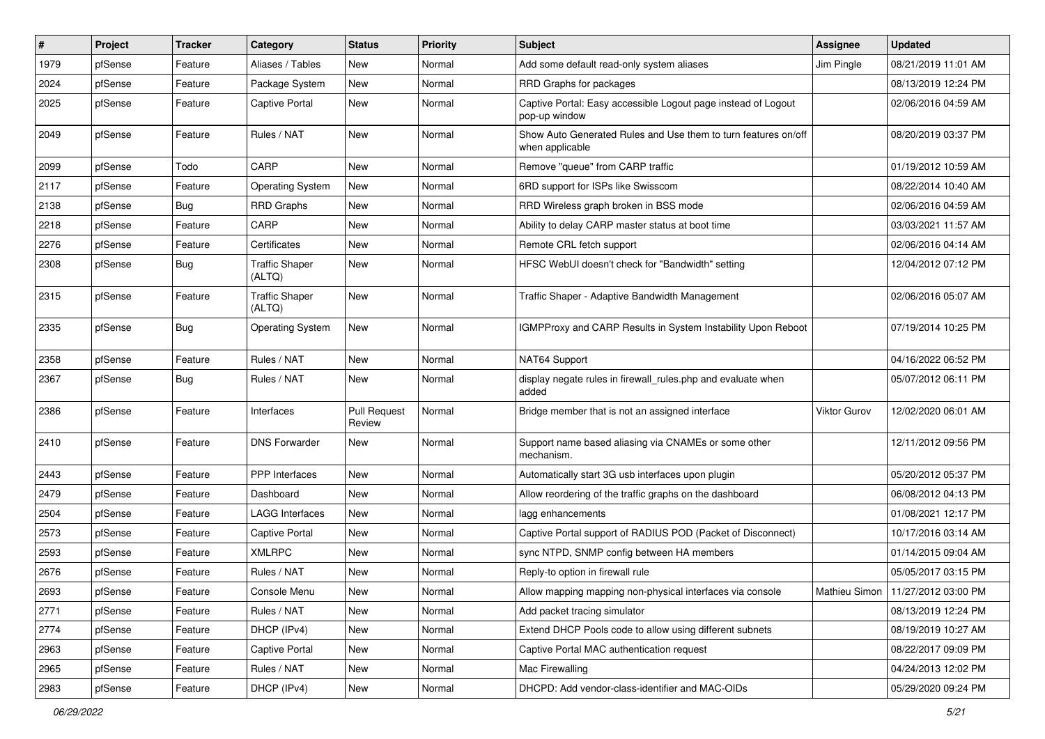| #    | Project | Tracker    | Category                        | <b>Status</b>                 | <b>Priority</b> | <b>Subject</b>                                                                    | <b>Assignee</b> | <b>Updated</b>                      |
|------|---------|------------|---------------------------------|-------------------------------|-----------------|-----------------------------------------------------------------------------------|-----------------|-------------------------------------|
| 1979 | pfSense | Feature    | Aliases / Tables                | New                           | Normal          | Add some default read-only system aliases                                         | Jim Pingle      | 08/21/2019 11:01 AM                 |
| 2024 | pfSense | Feature    | Package System                  | New                           | Normal          | RRD Graphs for packages                                                           |                 | 08/13/2019 12:24 PM                 |
| 2025 | pfSense | Feature    | Captive Portal                  | New                           | Normal          | Captive Portal: Easy accessible Logout page instead of Logout<br>pop-up window    |                 | 02/06/2016 04:59 AM                 |
| 2049 | pfSense | Feature    | Rules / NAT                     | New                           | Normal          | Show Auto Generated Rules and Use them to turn features on/off<br>when applicable |                 | 08/20/2019 03:37 PM                 |
| 2099 | pfSense | Todo       | CARP                            | New                           | Normal          | Remove "queue" from CARP traffic                                                  |                 | 01/19/2012 10:59 AM                 |
| 2117 | pfSense | Feature    | <b>Operating System</b>         | <b>New</b>                    | Normal          | 6RD support for ISPs like Swisscom                                                |                 | 08/22/2014 10:40 AM                 |
| 2138 | pfSense | Bug        | <b>RRD Graphs</b>               | New                           | Normal          | RRD Wireless graph broken in BSS mode                                             |                 | 02/06/2016 04:59 AM                 |
| 2218 | pfSense | Feature    | CARP                            | New                           | Normal          | Ability to delay CARP master status at boot time                                  |                 | 03/03/2021 11:57 AM                 |
| 2276 | pfSense | Feature    | Certificates                    | New                           | Normal          | Remote CRL fetch support                                                          |                 | 02/06/2016 04:14 AM                 |
| 2308 | pfSense | Bug        | <b>Traffic Shaper</b><br>(ALTQ) | New                           | Normal          | HFSC WebUI doesn't check for "Bandwidth" setting                                  |                 | 12/04/2012 07:12 PM                 |
| 2315 | pfSense | Feature    | <b>Traffic Shaper</b><br>(ALTQ) | New                           | Normal          | Traffic Shaper - Adaptive Bandwidth Management                                    |                 | 02/06/2016 05:07 AM                 |
| 2335 | pfSense | <b>Bug</b> | <b>Operating System</b>         | New                           | Normal          | IGMPProxy and CARP Results in System Instability Upon Reboot                      |                 | 07/19/2014 10:25 PM                 |
| 2358 | pfSense | Feature    | Rules / NAT                     | New                           | Normal          | NAT64 Support                                                                     |                 | 04/16/2022 06:52 PM                 |
| 2367 | pfSense | <b>Bug</b> | Rules / NAT                     | New                           | Normal          | display negate rules in firewall_rules.php and evaluate when<br>added             |                 | 05/07/2012 06:11 PM                 |
| 2386 | pfSense | Feature    | Interfaces                      | <b>Pull Request</b><br>Review | Normal          | Bridge member that is not an assigned interface                                   | Viktor Gurov    | 12/02/2020 06:01 AM                 |
| 2410 | pfSense | Feature    | <b>DNS Forwarder</b>            | New                           | Normal          | Support name based aliasing via CNAMEs or some other<br>mechanism.                |                 | 12/11/2012 09:56 PM                 |
| 2443 | pfSense | Feature    | PPP Interfaces                  | New                           | Normal          | Automatically start 3G usb interfaces upon plugin                                 |                 | 05/20/2012 05:37 PM                 |
| 2479 | pfSense | Feature    | Dashboard                       | New                           | Normal          | Allow reordering of the traffic graphs on the dashboard                           |                 | 06/08/2012 04:13 PM                 |
| 2504 | pfSense | Feature    | LAGG Interfaces                 | New                           | Normal          | lagg enhancements                                                                 |                 | 01/08/2021 12:17 PM                 |
| 2573 | pfSense | Feature    | Captive Portal                  | New                           | Normal          | Captive Portal support of RADIUS POD (Packet of Disconnect)                       |                 | 10/17/2016 03:14 AM                 |
| 2593 | pfSense | Feature    | <b>XMLRPC</b>                   | <b>New</b>                    | Normal          | sync NTPD, SNMP config between HA members                                         |                 | 01/14/2015 09:04 AM                 |
| 2676 | pfSense | Feature    | Rules / NAT                     | New                           | Normal          | Reply-to option in firewall rule                                                  |                 | 05/05/2017 03:15 PM                 |
| 2693 | pfSense | Feature    | Console Menu                    | New                           | Normal          | Allow mapping mapping non-physical interfaces via console                         |                 | Mathieu Simon   11/27/2012 03:00 PM |
| 2771 | pfSense | Feature    | Rules / NAT                     | New                           | Normal          | Add packet tracing simulator                                                      |                 | 08/13/2019 12:24 PM                 |
| 2774 | pfSense | Feature    | DHCP (IPv4)                     | New                           | Normal          | Extend DHCP Pools code to allow using different subnets                           |                 | 08/19/2019 10:27 AM                 |
| 2963 | pfSense | Feature    | Captive Portal                  | New                           | Normal          | Captive Portal MAC authentication request                                         |                 | 08/22/2017 09:09 PM                 |
| 2965 | pfSense | Feature    | Rules / NAT                     | New                           | Normal          | Mac Firewalling                                                                   |                 | 04/24/2013 12:02 PM                 |
| 2983 | pfSense | Feature    | DHCP (IPv4)                     | New                           | Normal          | DHCPD: Add vendor-class-identifier and MAC-OIDs                                   |                 | 05/29/2020 09:24 PM                 |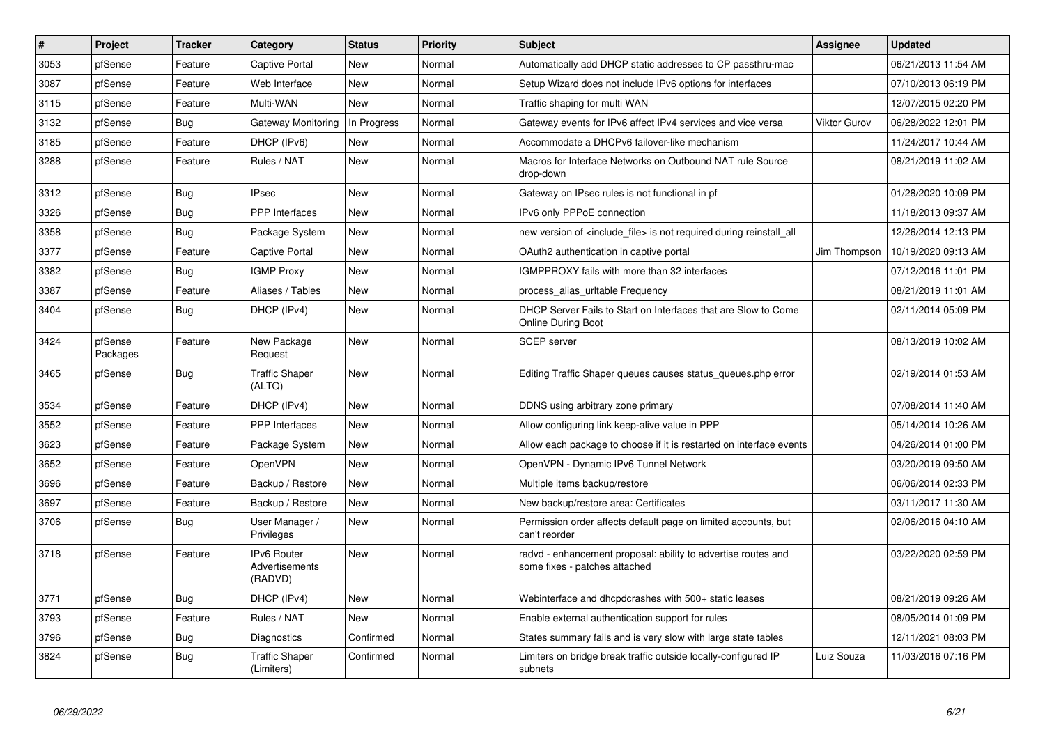| #    | Project             | <b>Tracker</b> | Category                                        | <b>Status</b> | <b>Priority</b> | <b>Subject</b>                                                                                 | <b>Assignee</b> | <b>Updated</b>      |
|------|---------------------|----------------|-------------------------------------------------|---------------|-----------------|------------------------------------------------------------------------------------------------|-----------------|---------------------|
| 3053 | pfSense             | Feature        | Captive Portal                                  | <b>New</b>    | Normal          | Automatically add DHCP static addresses to CP passthru-mac                                     |                 | 06/21/2013 11:54 AM |
| 3087 | pfSense             | Feature        | Web Interface                                   | <b>New</b>    | Normal          | Setup Wizard does not include IPv6 options for interfaces                                      |                 | 07/10/2013 06:19 PM |
| 3115 | pfSense             | Feature        | Multi-WAN                                       | New           | Normal          | Traffic shaping for multi WAN                                                                  |                 | 12/07/2015 02:20 PM |
| 3132 | pfSense             | <b>Bug</b>     | Gateway Monitoring                              | In Progress   | Normal          | Gateway events for IPv6 affect IPv4 services and vice versa                                    | Viktor Gurov    | 06/28/2022 12:01 PM |
| 3185 | pfSense             | Feature        | DHCP (IPv6)                                     | New           | Normal          | Accommodate a DHCPv6 failover-like mechanism                                                   |                 | 11/24/2017 10:44 AM |
| 3288 | pfSense             | Feature        | Rules / NAT                                     | New           | Normal          | Macros for Interface Networks on Outbound NAT rule Source<br>drop-down                         |                 | 08/21/2019 11:02 AM |
| 3312 | pfSense             | <b>Bug</b>     | <b>IPsec</b>                                    | <b>New</b>    | Normal          | Gateway on IPsec rules is not functional in pf                                                 |                 | 01/28/2020 10:09 PM |
| 3326 | pfSense             | Bug            | <b>PPP</b> Interfaces                           | <b>New</b>    | Normal          | IPv6 only PPPoE connection                                                                     |                 | 11/18/2013 09:37 AM |
| 3358 | pfSense             | <b>Bug</b>     | Package System                                  | New           | Normal          | new version of <include file=""> is not required during reinstall all</include>                |                 | 12/26/2014 12:13 PM |
| 3377 | pfSense             | Feature        | Captive Portal                                  | <b>New</b>    | Normal          | OAuth2 authentication in captive portal                                                        | Jim Thompson    | 10/19/2020 09:13 AM |
| 3382 | pfSense             | Bug            | <b>IGMP Proxy</b>                               | New           | Normal          | IGMPPROXY fails with more than 32 interfaces                                                   |                 | 07/12/2016 11:01 PM |
| 3387 | pfSense             | Feature        | Aliases / Tables                                | New           | Normal          | process_alias_urltable Frequency                                                               |                 | 08/21/2019 11:01 AM |
| 3404 | pfSense             | <b>Bug</b>     | DHCP (IPv4)                                     | <b>New</b>    | Normal          | DHCP Server Fails to Start on Interfaces that are Slow to Come<br><b>Online During Boot</b>    |                 | 02/11/2014 05:09 PM |
| 3424 | pfSense<br>Packages | Feature        | New Package<br>Request                          | <b>New</b>    | Normal          | <b>SCEP</b> server                                                                             |                 | 08/13/2019 10:02 AM |
| 3465 | pfSense             | Bug            | <b>Traffic Shaper</b><br>(ALTQ)                 | New           | Normal          | Editing Traffic Shaper queues causes status queues.php error                                   |                 | 02/19/2014 01:53 AM |
| 3534 | pfSense             | Feature        | DHCP (IPv4)                                     | New           | Normal          | DDNS using arbitrary zone primary                                                              |                 | 07/08/2014 11:40 AM |
| 3552 | pfSense             | Feature        | PPP Interfaces                                  | New           | Normal          | Allow configuring link keep-alive value in PPP                                                 |                 | 05/14/2014 10:26 AM |
| 3623 | pfSense             | Feature        | Package System                                  | New           | Normal          | Allow each package to choose if it is restarted on interface events                            |                 | 04/26/2014 01:00 PM |
| 3652 | pfSense             | Feature        | <b>OpenVPN</b>                                  | New           | Normal          | OpenVPN - Dynamic IPv6 Tunnel Network                                                          |                 | 03/20/2019 09:50 AM |
| 3696 | pfSense             | Feature        | Backup / Restore                                | New           | Normal          | Multiple items backup/restore                                                                  |                 | 06/06/2014 02:33 PM |
| 3697 | pfSense             | Feature        | Backup / Restore                                | New           | Normal          | New backup/restore area: Certificates                                                          |                 | 03/11/2017 11:30 AM |
| 3706 | pfSense             | <b>Bug</b>     | User Manager /<br>Privileges                    | New           | Normal          | Permission order affects default page on limited accounts, but<br>can't reorder                |                 | 02/06/2016 04:10 AM |
| 3718 | pfSense             | Feature        | <b>IPv6 Router</b><br>Advertisements<br>(RADVD) | New           | Normal          | radvd - enhancement proposal: ability to advertise routes and<br>some fixes - patches attached |                 | 03/22/2020 02:59 PM |
| 3771 | pfSense             | Bug            | DHCP (IPv4)                                     | <b>New</b>    | Normal          | Webinterface and dhcpdcrashes with 500+ static leases                                          |                 | 08/21/2019 09:26 AM |
| 3793 | pfSense             | Feature        | Rules / NAT                                     | New           | Normal          | Enable external authentication support for rules                                               |                 | 08/05/2014 01:09 PM |
| 3796 | pfSense             | <b>Bug</b>     | Diagnostics                                     | Confirmed     | Normal          | States summary fails and is very slow with large state tables                                  |                 | 12/11/2021 08:03 PM |
| 3824 | pfSense             | Bug            | <b>Traffic Shaper</b><br>(Limiters)             | Confirmed     | Normal          | Limiters on bridge break traffic outside locally-configured IP<br>subnets                      | Luiz Souza      | 11/03/2016 07:16 PM |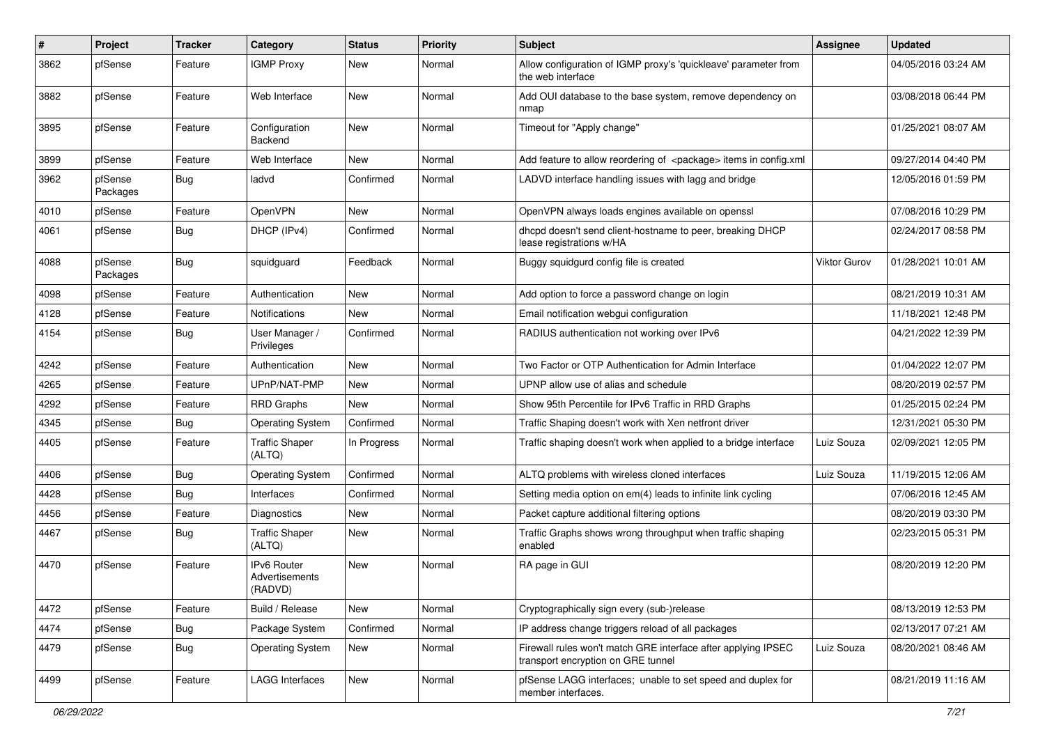| #    | Project             | <b>Tracker</b> | Category                                        | <b>Status</b> | <b>Priority</b> | Subject                                                                                             | <b>Assignee</b> | <b>Updated</b>      |
|------|---------------------|----------------|-------------------------------------------------|---------------|-----------------|-----------------------------------------------------------------------------------------------------|-----------------|---------------------|
| 3862 | pfSense             | Feature        | <b>IGMP Proxy</b>                               | New           | Normal          | Allow configuration of IGMP proxy's 'quickleave' parameter from<br>the web interface                |                 | 04/05/2016 03:24 AM |
| 3882 | pfSense             | Feature        | Web Interface                                   | New           | Normal          | Add OUI database to the base system, remove dependency on<br>nmap                                   |                 | 03/08/2018 06:44 PM |
| 3895 | pfSense             | Feature        | Configuration<br>Backend                        | New           | Normal          | Timeout for "Apply change"                                                                          |                 | 01/25/2021 08:07 AM |
| 3899 | pfSense             | Feature        | Web Interface                                   | New           | Normal          | Add feature to allow reordering of <package> items in config.xml</package>                          |                 | 09/27/2014 04:40 PM |
| 3962 | pfSense<br>Packages | Bug            | ladvd                                           | Confirmed     | Normal          | LADVD interface handling issues with lagg and bridge                                                |                 | 12/05/2016 01:59 PM |
| 4010 | pfSense             | Feature        | OpenVPN                                         | New           | Normal          | OpenVPN always loads engines available on openssl                                                   |                 | 07/08/2016 10:29 PM |
| 4061 | pfSense             | Bug            | DHCP (IPv4)                                     | Confirmed     | Normal          | dhcpd doesn't send client-hostname to peer, breaking DHCP<br>lease registrations w/HA               |                 | 02/24/2017 08:58 PM |
| 4088 | pfSense<br>Packages | Bug            | squidguard                                      | Feedback      | Normal          | Buggy squidgurd config file is created                                                              | Viktor Gurov    | 01/28/2021 10:01 AM |
| 4098 | pfSense             | Feature        | Authentication                                  | <b>New</b>    | Normal          | Add option to force a password change on login                                                      |                 | 08/21/2019 10:31 AM |
| 4128 | pfSense             | Feature        | <b>Notifications</b>                            | New           | Normal          | Email notification webgui configuration                                                             |                 | 11/18/2021 12:48 PM |
| 4154 | pfSense             | <b>Bug</b>     | User Manager /<br>Privileges                    | Confirmed     | Normal          | RADIUS authentication not working over IPv6                                                         |                 | 04/21/2022 12:39 PM |
| 4242 | pfSense             | Feature        | Authentication                                  | <b>New</b>    | Normal          | Two Factor or OTP Authentication for Admin Interface                                                |                 | 01/04/2022 12:07 PM |
| 4265 | pfSense             | Feature        | UPnP/NAT-PMP                                    | New           | Normal          | UPNP allow use of alias and schedule                                                                |                 | 08/20/2019 02:57 PM |
| 4292 | pfSense             | Feature        | <b>RRD Graphs</b>                               | New           | Normal          | Show 95th Percentile for IPv6 Traffic in RRD Graphs                                                 |                 | 01/25/2015 02:24 PM |
| 4345 | pfSense             | <b>Bug</b>     | <b>Operating System</b>                         | Confirmed     | Normal          | Traffic Shaping doesn't work with Xen netfront driver                                               |                 | 12/31/2021 05:30 PM |
| 4405 | pfSense             | Feature        | <b>Traffic Shaper</b><br>(ALTQ)                 | In Progress   | Normal          | Traffic shaping doesn't work when applied to a bridge interface                                     | Luiz Souza      | 02/09/2021 12:05 PM |
| 4406 | pfSense             | <b>Bug</b>     | <b>Operating System</b>                         | Confirmed     | Normal          | ALTQ problems with wireless cloned interfaces                                                       | Luiz Souza      | 11/19/2015 12:06 AM |
| 4428 | pfSense             | Bug            | Interfaces                                      | Confirmed     | Normal          | Setting media option on em(4) leads to infinite link cycling                                        |                 | 07/06/2016 12:45 AM |
| 4456 | pfSense             | Feature        | Diagnostics                                     | New           | Normal          | Packet capture additional filtering options                                                         |                 | 08/20/2019 03:30 PM |
| 4467 | pfSense             | <b>Bug</b>     | <b>Traffic Shaper</b><br>(ALTQ)                 | New           | Normal          | Traffic Graphs shows wrong throughput when traffic shaping<br>enabled                               |                 | 02/23/2015 05:31 PM |
| 4470 | pfSense             | Feature        | <b>IPv6 Router</b><br>Advertisements<br>(RADVD) | New           | Normal          | RA page in GUI                                                                                      |                 | 08/20/2019 12:20 PM |
| 4472 | pfSense             | Feature        | Build / Release                                 | New           | Normal          | Cryptographically sign every (sub-)release                                                          |                 | 08/13/2019 12:53 PM |
| 4474 | pfSense             | <b>Bug</b>     | Package System                                  | Confirmed     | Normal          | IP address change triggers reload of all packages                                                   |                 | 02/13/2017 07:21 AM |
| 4479 | pfSense             | <b>Bug</b>     | <b>Operating System</b>                         | New           | Normal          | Firewall rules won't match GRE interface after applying IPSEC<br>transport encryption on GRE tunnel | Luiz Souza      | 08/20/2021 08:46 AM |
| 4499 | pfSense             | Feature        | LAGG Interfaces                                 | New           | Normal          | pfSense LAGG interfaces; unable to set speed and duplex for<br>member interfaces.                   |                 | 08/21/2019 11:16 AM |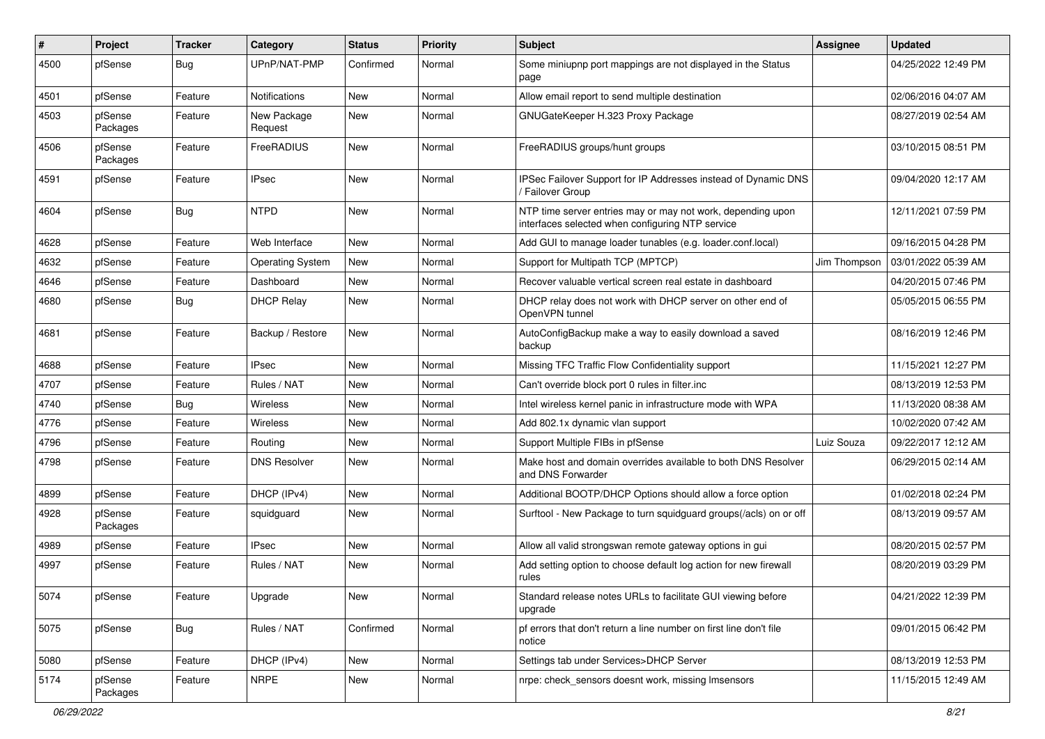| $\sharp$ | Project             | <b>Tracker</b> | Category                | <b>Status</b> | <b>Priority</b> | <b>Subject</b>                                                                                                  | <b>Assignee</b> | <b>Updated</b>      |
|----------|---------------------|----------------|-------------------------|---------------|-----------------|-----------------------------------------------------------------------------------------------------------------|-----------------|---------------------|
| 4500     | pfSense             | Bug            | UPnP/NAT-PMP            | Confirmed     | Normal          | Some miniupnp port mappings are not displayed in the Status<br>page                                             |                 | 04/25/2022 12:49 PM |
| 4501     | pfSense             | Feature        | Notifications           | New           | Normal          | Allow email report to send multiple destination                                                                 |                 | 02/06/2016 04:07 AM |
| 4503     | pfSense<br>Packages | Feature        | New Package<br>Request  | New           | Normal          | GNUGateKeeper H.323 Proxy Package                                                                               |                 | 08/27/2019 02:54 AM |
| 4506     | pfSense<br>Packages | Feature        | FreeRADIUS              | New           | Normal          | FreeRADIUS groups/hunt groups                                                                                   |                 | 03/10/2015 08:51 PM |
| 4591     | pfSense             | Feature        | <b>IPsec</b>            | <b>New</b>    | Normal          | IPSec Failover Support for IP Addresses instead of Dynamic DNS<br>/ Failover Group                              |                 | 09/04/2020 12:17 AM |
| 4604     | pfSense             | <b>Bug</b>     | <b>NTPD</b>             | New           | Normal          | NTP time server entries may or may not work, depending upon<br>interfaces selected when configuring NTP service |                 | 12/11/2021 07:59 PM |
| 4628     | pfSense             | Feature        | Web Interface           | <b>New</b>    | Normal          | Add GUI to manage loader tunables (e.g. loader.conf.local)                                                      |                 | 09/16/2015 04:28 PM |
| 4632     | pfSense             | Feature        | <b>Operating System</b> | New           | Normal          | Support for Multipath TCP (MPTCP)                                                                               | Jim Thompson    | 03/01/2022 05:39 AM |
| 4646     | pfSense             | Feature        | Dashboard               | New           | Normal          | Recover valuable vertical screen real estate in dashboard                                                       |                 | 04/20/2015 07:46 PM |
| 4680     | pfSense             | <b>Bug</b>     | <b>DHCP Relay</b>       | New           | Normal          | DHCP relay does not work with DHCP server on other end of<br>OpenVPN tunnel                                     |                 | 05/05/2015 06:55 PM |
| 4681     | pfSense             | Feature        | Backup / Restore        | <b>New</b>    | Normal          | AutoConfigBackup make a way to easily download a saved<br>backup                                                |                 | 08/16/2019 12:46 PM |
| 4688     | pfSense             | Feature        | <b>IPsec</b>            | New           | Normal          | Missing TFC Traffic Flow Confidentiality support                                                                |                 | 11/15/2021 12:27 PM |
| 4707     | pfSense             | Feature        | Rules / NAT             | New           | Normal          | Can't override block port 0 rules in filter.inc                                                                 |                 | 08/13/2019 12:53 PM |
| 4740     | pfSense             | <b>Bug</b>     | Wireless                | New           | Normal          | Intel wireless kernel panic in infrastructure mode with WPA                                                     |                 | 11/13/2020 08:38 AM |
| 4776     | pfSense             | Feature        | Wireless                | New           | Normal          | Add 802.1x dynamic vlan support                                                                                 |                 | 10/02/2020 07:42 AM |
| 4796     | pfSense             | Feature        | Routing                 | New           | Normal          | Support Multiple FIBs in pfSense                                                                                | Luiz Souza      | 09/22/2017 12:12 AM |
| 4798     | pfSense             | Feature        | <b>DNS Resolver</b>     | New           | Normal          | Make host and domain overrides available to both DNS Resolver<br>and DNS Forwarder                              |                 | 06/29/2015 02:14 AM |
| 4899     | pfSense             | Feature        | DHCP (IPv4)             | New           | Normal          | Additional BOOTP/DHCP Options should allow a force option                                                       |                 | 01/02/2018 02:24 PM |
| 4928     | pfSense<br>Packages | Feature        | squidguard              | New           | Normal          | Surftool - New Package to turn squidguard groups(/acls) on or off                                               |                 | 08/13/2019 09:57 AM |
| 4989     | pfSense             | Feature        | <b>IPsec</b>            | <b>New</b>    | Normal          | Allow all valid strongswan remote gateway options in gui                                                        |                 | 08/20/2015 02:57 PM |
| 4997     | pfSense             | Feature        | Rules / NAT             | New           | Normal          | Add setting option to choose default log action for new firewall<br>rules                                       |                 | 08/20/2019 03:29 PM |
| 5074     | pfSense             | Feature        | Upgrade                 | New           | Normal          | Standard release notes URLs to facilitate GUI viewing before<br>upgrade                                         |                 | 04/21/2022 12:39 PM |
| 5075     | pfSense             | Bug            | Rules / NAT             | Confirmed     | Normal          | pf errors that don't return a line number on first line don't file<br>notice                                    |                 | 09/01/2015 06:42 PM |
| 5080     | pfSense             | Feature        | DHCP (IPv4)             | New           | Normal          | Settings tab under Services>DHCP Server                                                                         |                 | 08/13/2019 12:53 PM |
| 5174     | pfSense<br>Packages | Feature        | <b>NRPE</b>             | New           | Normal          | nrpe: check sensors doesnt work, missing Imsensors                                                              |                 | 11/15/2015 12:49 AM |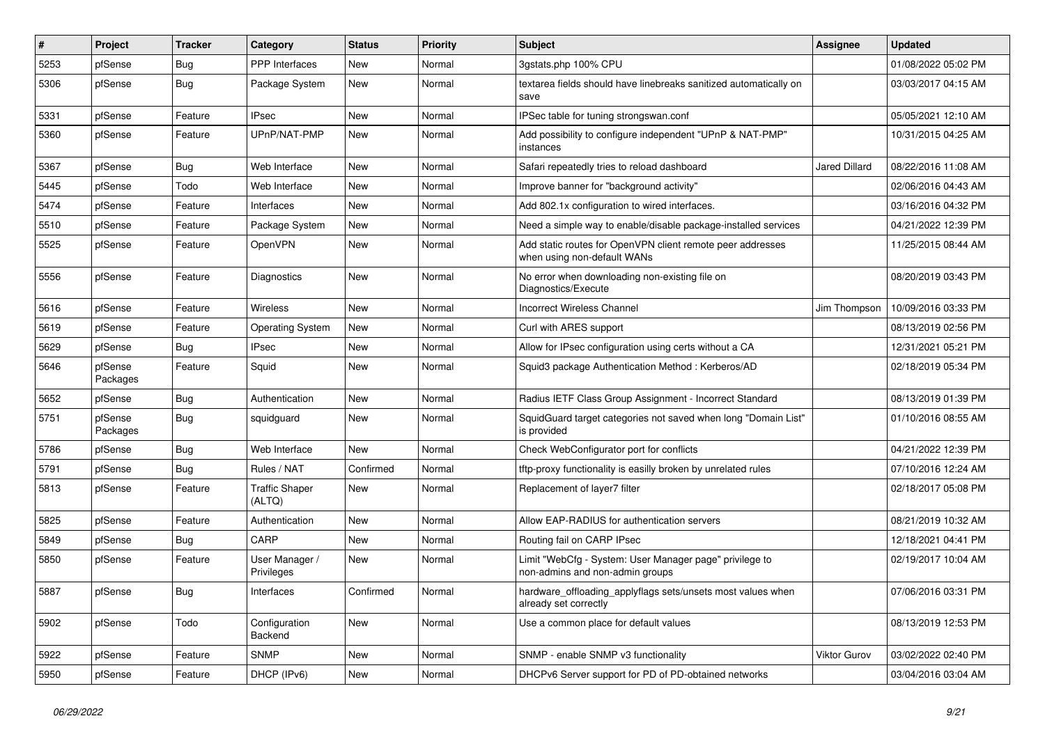| $\sharp$ | Project             | <b>Tracker</b> | Category                        | <b>Status</b> | <b>Priority</b> | <b>Subject</b>                                                                             | <b>Assignee</b>      | <b>Updated</b>      |
|----------|---------------------|----------------|---------------------------------|---------------|-----------------|--------------------------------------------------------------------------------------------|----------------------|---------------------|
| 5253     | pfSense             | Bug            | PPP Interfaces                  | New           | Normal          | 3gstats.php 100% CPU                                                                       |                      | 01/08/2022 05:02 PM |
| 5306     | pfSense             | <b>Bug</b>     | Package System                  | New           | Normal          | textarea fields should have linebreaks sanitized automatically on<br>save                  |                      | 03/03/2017 04:15 AM |
| 5331     | pfSense             | Feature        | <b>IPsec</b>                    | New           | Normal          | IPSec table for tuning strongswan.conf                                                     |                      | 05/05/2021 12:10 AM |
| 5360     | pfSense             | Feature        | UPnP/NAT-PMP                    | New           | Normal          | Add possibility to configure independent "UPnP & NAT-PMP"<br>instances                     |                      | 10/31/2015 04:25 AM |
| 5367     | pfSense             | Bug            | Web Interface                   | New           | Normal          | Safari repeatedly tries to reload dashboard                                                | <b>Jared Dillard</b> | 08/22/2016 11:08 AM |
| 5445     | pfSense             | Todo           | Web Interface                   | New           | Normal          | Improve banner for "background activity"                                                   |                      | 02/06/2016 04:43 AM |
| 5474     | pfSense             | Feature        | Interfaces                      | New           | Normal          | Add 802.1x configuration to wired interfaces.                                              |                      | 03/16/2016 04:32 PM |
| 5510     | pfSense             | Feature        | Package System                  | New           | Normal          | Need a simple way to enable/disable package-installed services                             |                      | 04/21/2022 12:39 PM |
| 5525     | pfSense             | Feature        | <b>OpenVPN</b>                  | <b>New</b>    | Normal          | Add static routes for OpenVPN client remote peer addresses<br>when using non-default WANs  |                      | 11/25/2015 08:44 AM |
| 5556     | pfSense             | Feature        | Diagnostics                     | New           | Normal          | No error when downloading non-existing file on<br>Diagnostics/Execute                      |                      | 08/20/2019 03:43 PM |
| 5616     | pfSense             | Feature        | Wireless                        | <b>New</b>    | Normal          | <b>Incorrect Wireless Channel</b>                                                          | Jim Thompson         | 10/09/2016 03:33 PM |
| 5619     | pfSense             | Feature        | Operating System                | <b>New</b>    | Normal          | Curl with ARES support                                                                     |                      | 08/13/2019 02:56 PM |
| 5629     | pfSense             | Bug            | IPsec                           | <b>New</b>    | Normal          | Allow for IPsec configuration using certs without a CA                                     |                      | 12/31/2021 05:21 PM |
| 5646     | pfSense<br>Packages | Feature        | Squid                           | <b>New</b>    | Normal          | Squid3 package Authentication Method: Kerberos/AD                                          |                      | 02/18/2019 05:34 PM |
| 5652     | pfSense             | Bug            | Authentication                  | New           | Normal          | Radius IETF Class Group Assignment - Incorrect Standard                                    |                      | 08/13/2019 01:39 PM |
| 5751     | pfSense<br>Packages | Bug            | squidguard                      | New           | Normal          | SquidGuard target categories not saved when long "Domain List"<br>is provided              |                      | 01/10/2016 08:55 AM |
| 5786     | pfSense             | Bug            | Web Interface                   | New           | Normal          | Check WebConfigurator port for conflicts                                                   |                      | 04/21/2022 12:39 PM |
| 5791     | pfSense             | Bug            | Rules / NAT                     | Confirmed     | Normal          | tftp-proxy functionality is easilly broken by unrelated rules                              |                      | 07/10/2016 12:24 AM |
| 5813     | pfSense             | Feature        | <b>Traffic Shaper</b><br>(ALTQ) | <b>New</b>    | Normal          | Replacement of layer7 filter                                                               |                      | 02/18/2017 05:08 PM |
| 5825     | pfSense             | Feature        | Authentication                  | New           | Normal          | Allow EAP-RADIUS for authentication servers                                                |                      | 08/21/2019 10:32 AM |
| 5849     | pfSense             | <b>Bug</b>     | CARP                            | New           | Normal          | Routing fail on CARP IPsec                                                                 |                      | 12/18/2021 04:41 PM |
| 5850     | pfSense             | Feature        | User Manager /<br>Privileges    | New           | Normal          | Limit "WebCfg - System: User Manager page" privilege to<br>non-admins and non-admin groups |                      | 02/19/2017 10:04 AM |
| 5887     | pfSense             | Bug            | Interfaces                      | Confirmed     | Normal          | hardware_offloading_applyflags sets/unsets most values when<br>already set correctly       |                      | 07/06/2016 03:31 PM |
| 5902     | pfSense             | Todo           | Configuration<br>Backend        | New           | Normal          | Use a common place for default values                                                      |                      | 08/13/2019 12:53 PM |
| 5922     | pfSense             | Feature        | <b>SNMP</b>                     | <b>New</b>    | Normal          | SNMP - enable SNMP v3 functionality                                                        | <b>Viktor Gurov</b>  | 03/02/2022 02:40 PM |
| 5950     | pfSense             | Feature        | DHCP (IPv6)                     | New           | Normal          | DHCPv6 Server support for PD of PD-obtained networks                                       |                      | 03/04/2016 03:04 AM |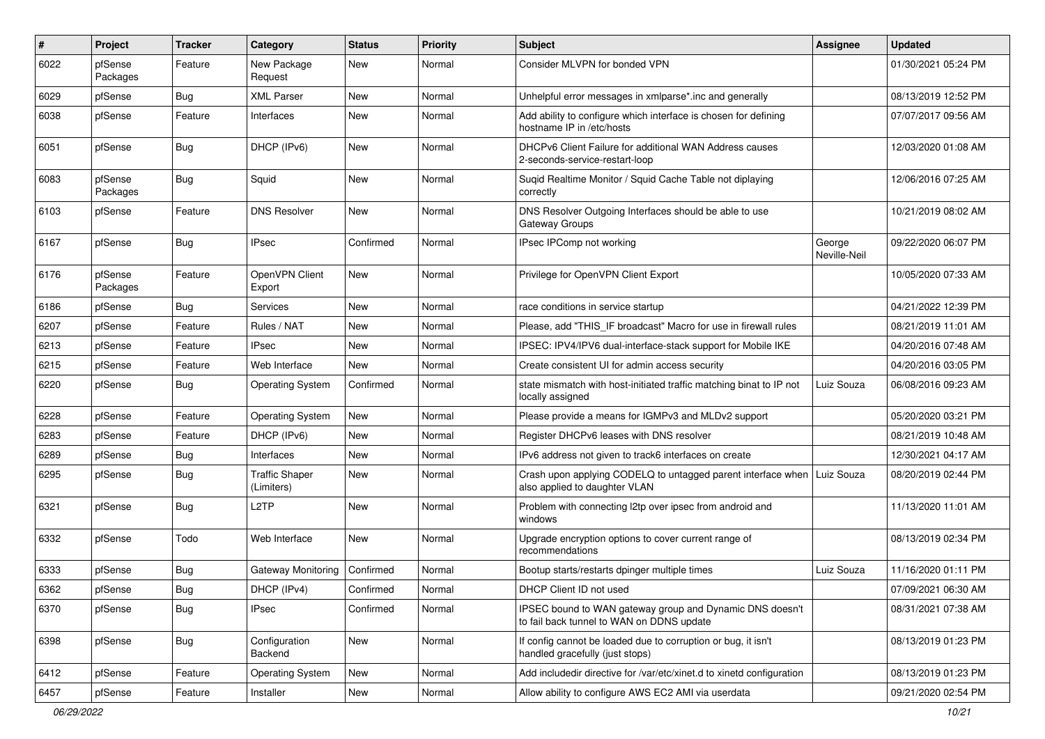| ∦    | Project             | <b>Tracker</b> | Category                            | <b>Status</b> | <b>Priority</b> | <b>Subject</b>                                                                                             | Assignee               | <b>Updated</b>      |
|------|---------------------|----------------|-------------------------------------|---------------|-----------------|------------------------------------------------------------------------------------------------------------|------------------------|---------------------|
| 6022 | pfSense<br>Packages | Feature        | New Package<br>Request              | New           | Normal          | Consider MLVPN for bonded VPN                                                                              |                        | 01/30/2021 05:24 PM |
| 6029 | pfSense             | Bug            | <b>XML Parser</b>                   | New           | Normal          | Unhelpful error messages in xmlparse*.inc and generally                                                    |                        | 08/13/2019 12:52 PM |
| 6038 | pfSense             | Feature        | Interfaces                          | New           | Normal          | Add ability to configure which interface is chosen for defining<br>hostname IP in /etc/hosts               |                        | 07/07/2017 09:56 AM |
| 6051 | pfSense             | Bug            | DHCP (IPv6)                         | New           | Normal          | DHCPv6 Client Failure for additional WAN Address causes<br>2-seconds-service-restart-loop                  |                        | 12/03/2020 01:08 AM |
| 6083 | pfSense<br>Packages | Bug            | Squid                               | <b>New</b>    | Normal          | Sugid Realtime Monitor / Squid Cache Table not diplaying<br>correctly                                      |                        | 12/06/2016 07:25 AM |
| 6103 | pfSense             | Feature        | <b>DNS Resolver</b>                 | New           | Normal          | DNS Resolver Outgoing Interfaces should be able to use<br>Gateway Groups                                   |                        | 10/21/2019 08:02 AM |
| 6167 | pfSense             | <b>Bug</b>     | <b>IPsec</b>                        | Confirmed     | Normal          | IPsec IPComp not working                                                                                   | George<br>Neville-Neil | 09/22/2020 06:07 PM |
| 6176 | pfSense<br>Packages | Feature        | OpenVPN Client<br>Export            | New           | Normal          | Privilege for OpenVPN Client Export                                                                        |                        | 10/05/2020 07:33 AM |
| 6186 | pfSense             | Bug            | Services                            | <b>New</b>    | Normal          | race conditions in service startup                                                                         |                        | 04/21/2022 12:39 PM |
| 6207 | pfSense             | Feature        | Rules / NAT                         | New           | Normal          | Please, add "THIS IF broadcast" Macro for use in firewall rules                                            |                        | 08/21/2019 11:01 AM |
| 6213 | pfSense             | Feature        | <b>IPsec</b>                        | New           | Normal          | IPSEC: IPV4/IPV6 dual-interface-stack support for Mobile IKE                                               |                        | 04/20/2016 07:48 AM |
| 6215 | pfSense             | Feature        | Web Interface                       | New           | Normal          | Create consistent UI for admin access security                                                             |                        | 04/20/2016 03:05 PM |
| 6220 | pfSense             | Bug            | <b>Operating System</b>             | Confirmed     | Normal          | state mismatch with host-initiated traffic matching binat to IP not<br>locally assigned                    | Luiz Souza             | 06/08/2016 09:23 AM |
| 6228 | pfSense             | Feature        | <b>Operating System</b>             | New           | Normal          | Please provide a means for IGMPv3 and MLDv2 support                                                        |                        | 05/20/2020 03:21 PM |
| 6283 | pfSense             | Feature        | DHCP (IPv6)                         | New           | Normal          | Register DHCPv6 leases with DNS resolver                                                                   |                        | 08/21/2019 10:48 AM |
| 6289 | pfSense             | <b>Bug</b>     | Interfaces                          | <b>New</b>    | Normal          | IPv6 address not given to track6 interfaces on create                                                      |                        | 12/30/2021 04:17 AM |
| 6295 | pfSense             | <b>Bug</b>     | <b>Traffic Shaper</b><br>(Limiters) | New           | Normal          | Crash upon applying CODELQ to untagged parent interface when   Luiz Souza<br>also applied to daughter VLAN |                        | 08/20/2019 02:44 PM |
| 6321 | pfSense             | Bug            | L <sub>2</sub> TP                   | New           | Normal          | Problem with connecting l2tp over ipsec from android and<br>windows                                        |                        | 11/13/2020 11:01 AM |
| 6332 | pfSense             | Todo           | Web Interface                       | New           | Normal          | Upgrade encryption options to cover current range of<br>recommendations                                    |                        | 08/13/2019 02:34 PM |
| 6333 | pfSense             | <b>Bug</b>     | Gateway Monitoring                  | Confirmed     | Normal          | Bootup starts/restarts dpinger multiple times                                                              | Luiz Souza             | 11/16/2020 01:11 PM |
| 6362 | pfSense             | i Bug          | DHCP (IPv4)                         | Confirmed     | Normal          | DHCP Client ID not used                                                                                    |                        | 07/09/2021 06:30 AM |
| 6370 | pfSense             | <b>Bug</b>     | <b>IPsec</b>                        | Confirmed     | Normal          | IPSEC bound to WAN gateway group and Dynamic DNS doesn't<br>to fail back tunnel to WAN on DDNS update      |                        | 08/31/2021 07:38 AM |
| 6398 | pfSense             | <b>Bug</b>     | Configuration<br>Backend            | New           | Normal          | If config cannot be loaded due to corruption or bug, it isn't<br>handled gracefully (just stops)           |                        | 08/13/2019 01:23 PM |
| 6412 | pfSense             | Feature        | <b>Operating System</b>             | New           | Normal          | Add includedir directive for /var/etc/xinet.d to xinetd configuration                                      |                        | 08/13/2019 01:23 PM |
| 6457 | pfSense             | Feature        | Installer                           | New           | Normal          | Allow ability to configure AWS EC2 AMI via userdata                                                        |                        | 09/21/2020 02:54 PM |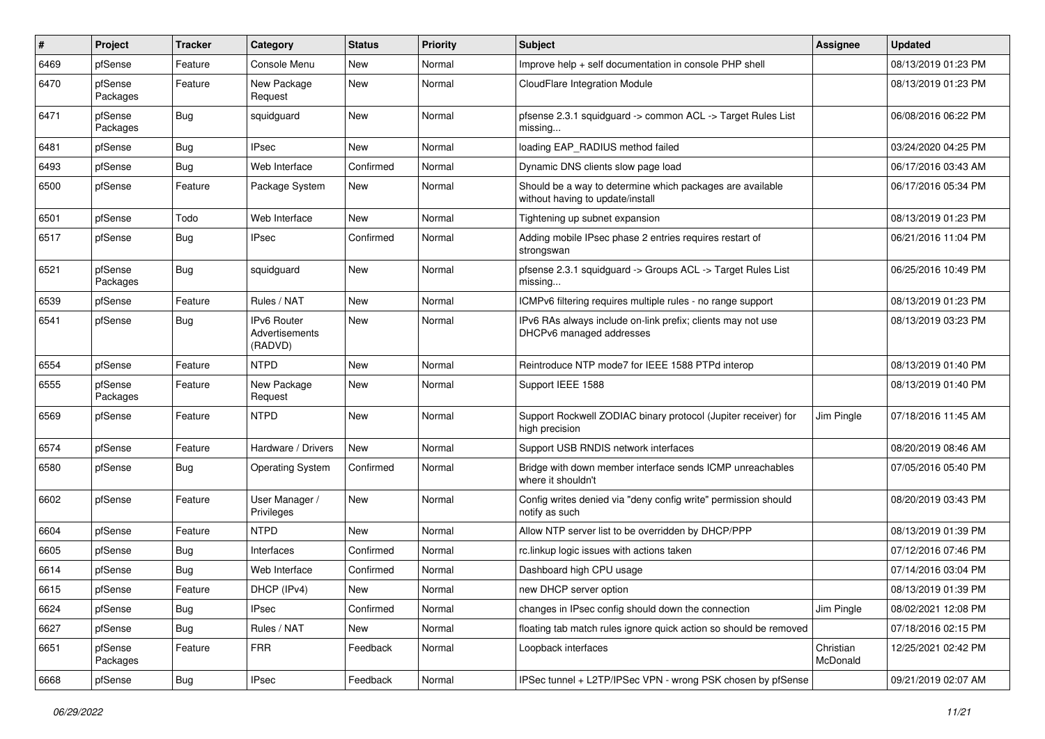| #    | Project             | <b>Tracker</b> | Category                                        | <b>Status</b> | <b>Priority</b> | <b>Subject</b>                                                                                | Assignee              | <b>Updated</b>      |
|------|---------------------|----------------|-------------------------------------------------|---------------|-----------------|-----------------------------------------------------------------------------------------------|-----------------------|---------------------|
| 6469 | pfSense             | Feature        | Console Menu                                    | New           | Normal          | Improve help + self documentation in console PHP shell                                        |                       | 08/13/2019 01:23 PM |
| 6470 | pfSense<br>Packages | Feature        | New Package<br>Request                          | New           | Normal          | CloudFlare Integration Module                                                                 |                       | 08/13/2019 01:23 PM |
| 6471 | pfSense<br>Packages | <b>Bug</b>     | squidguard                                      | New           | Normal          | pfsense 2.3.1 squidguard -> common ACL -> Target Rules List<br>missing                        |                       | 06/08/2016 06:22 PM |
| 6481 | pfSense             | Bug            | <b>IPsec</b>                                    | <b>New</b>    | Normal          | loading EAP RADIUS method failed                                                              |                       | 03/24/2020 04:25 PM |
| 6493 | pfSense             | <b>Bug</b>     | Web Interface                                   | Confirmed     | Normal          | Dynamic DNS clients slow page load                                                            |                       | 06/17/2016 03:43 AM |
| 6500 | pfSense             | Feature        | Package System                                  | New           | Normal          | Should be a way to determine which packages are available<br>without having to update/install |                       | 06/17/2016 05:34 PM |
| 6501 | pfSense             | Todo           | Web Interface                                   | <b>New</b>    | Normal          | Tightening up subnet expansion                                                                |                       | 08/13/2019 01:23 PM |
| 6517 | pfSense             | <b>Bug</b>     | <b>IPsec</b>                                    | Confirmed     | Normal          | Adding mobile IPsec phase 2 entries requires restart of<br>strongswan                         |                       | 06/21/2016 11:04 PM |
| 6521 | pfSense<br>Packages | <b>Bug</b>     | squidguard                                      | New           | Normal          | pfsense 2.3.1 squidguard -> Groups ACL -> Target Rules List<br>missing                        |                       | 06/25/2016 10:49 PM |
| 6539 | pfSense             | Feature        | Rules / NAT                                     | New           | Normal          | ICMPv6 filtering requires multiple rules - no range support                                   |                       | 08/13/2019 01:23 PM |
| 6541 | pfSense             | <b>Bug</b>     | <b>IPv6 Router</b><br>Advertisements<br>(RADVD) | <b>New</b>    | Normal          | IPv6 RAs always include on-link prefix; clients may not use<br>DHCPv6 managed addresses       |                       | 08/13/2019 03:23 PM |
| 6554 | pfSense             | Feature        | <b>NTPD</b>                                     | <b>New</b>    | Normal          | Reintroduce NTP mode7 for IEEE 1588 PTPd interop                                              |                       | 08/13/2019 01:40 PM |
| 6555 | pfSense<br>Packages | Feature        | New Package<br>Request                          | New           | Normal          | Support IEEE 1588                                                                             |                       | 08/13/2019 01:40 PM |
| 6569 | pfSense             | Feature        | <b>NTPD</b>                                     | <b>New</b>    | Normal          | Support Rockwell ZODIAC binary protocol (Jupiter receiver) for<br>high precision              | Jim Pingle            | 07/18/2016 11:45 AM |
| 6574 | pfSense             | Feature        | Hardware / Drivers                              | New           | Normal          | Support USB RNDIS network interfaces                                                          |                       | 08/20/2019 08:46 AM |
| 6580 | pfSense             | <b>Bug</b>     | <b>Operating System</b>                         | Confirmed     | Normal          | Bridge with down member interface sends ICMP unreachables<br>where it shouldn't               |                       | 07/05/2016 05:40 PM |
| 6602 | pfSense             | Feature        | User Manager /<br>Privileges                    | <b>New</b>    | Normal          | Config writes denied via "deny config write" permission should<br>notify as such              |                       | 08/20/2019 03:43 PM |
| 6604 | pfSense             | Feature        | <b>NTPD</b>                                     | New           | Normal          | Allow NTP server list to be overridden by DHCP/PPP                                            |                       | 08/13/2019 01:39 PM |
| 6605 | pfSense             | Bug            | Interfaces                                      | Confirmed     | Normal          | rc.linkup logic issues with actions taken                                                     |                       | 07/12/2016 07:46 PM |
| 6614 | pfSense             | <b>Bug</b>     | Web Interface                                   | Confirmed     | Normal          | Dashboard high CPU usage                                                                      |                       | 07/14/2016 03:04 PM |
| 6615 | pfSense             | Feature        | DHCP (IPv4)                                     | New           | Normal          | new DHCP server option                                                                        |                       | 08/13/2019 01:39 PM |
| 6624 | pfSense             | Bug            | IPsec                                           | Confirmed     | Normal          | changes in IPsec config should down the connection                                            | Jim Pingle            | 08/02/2021 12:08 PM |
| 6627 | pfSense             | Bug            | Rules / NAT                                     | New           | Normal          | floating tab match rules ignore quick action so should be removed                             |                       | 07/18/2016 02:15 PM |
| 6651 | pfSense<br>Packages | Feature        | <b>FRR</b>                                      | Feedback      | Normal          | Loopback interfaces                                                                           | Christian<br>McDonald | 12/25/2021 02:42 PM |
| 6668 | pfSense             | <b>Bug</b>     | <b>IPsec</b>                                    | Feedback      | Normal          | IPSec tunnel + L2TP/IPSec VPN - wrong PSK chosen by pfSense                                   |                       | 09/21/2019 02:07 AM |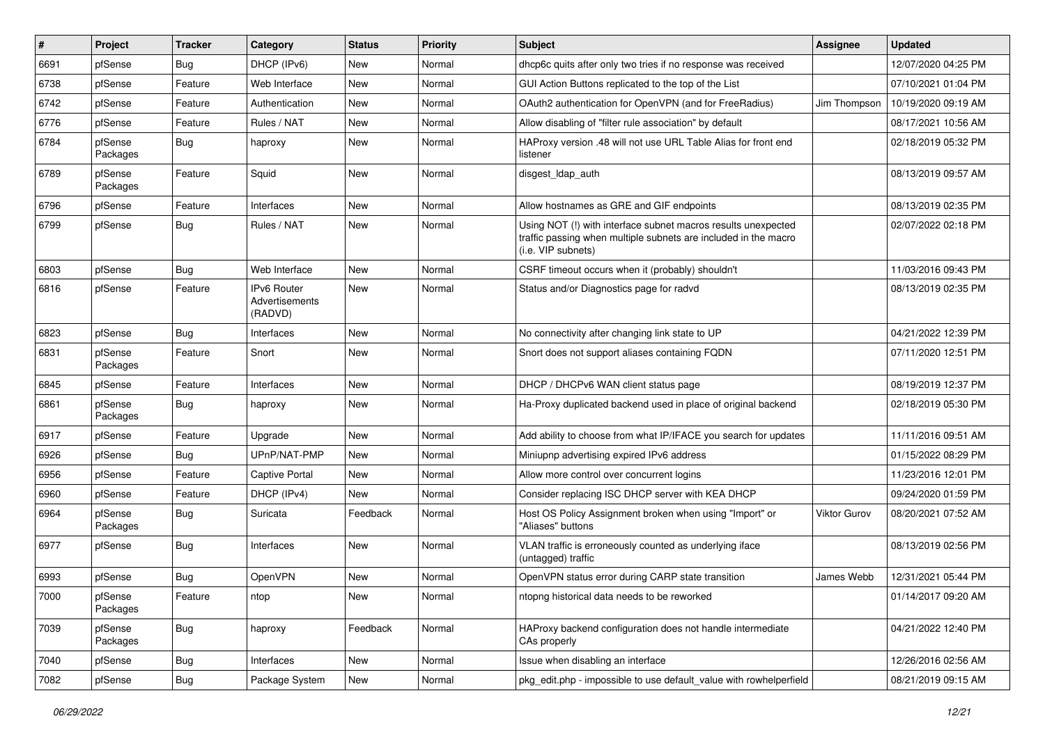| ∦    | Project             | <b>Tracker</b> | Category                                        | <b>Status</b> | <b>Priority</b> | <b>Subject</b>                                                                                                                                         | <b>Assignee</b> | <b>Updated</b>      |
|------|---------------------|----------------|-------------------------------------------------|---------------|-----------------|--------------------------------------------------------------------------------------------------------------------------------------------------------|-----------------|---------------------|
| 6691 | pfSense             | <b>Bug</b>     | DHCP (IPv6)                                     | New           | Normal          | dhcp6c quits after only two tries if no response was received                                                                                          |                 | 12/07/2020 04:25 PM |
| 6738 | pfSense             | Feature        | Web Interface                                   | New           | Normal          | GUI Action Buttons replicated to the top of the List                                                                                                   |                 | 07/10/2021 01:04 PM |
| 6742 | pfSense             | Feature        | Authentication                                  | New           | Normal          | OAuth2 authentication for OpenVPN (and for FreeRadius)                                                                                                 | Jim Thompson    | 10/19/2020 09:19 AM |
| 6776 | pfSense             | Feature        | Rules / NAT                                     | New           | Normal          | Allow disabling of "filter rule association" by default                                                                                                |                 | 08/17/2021 10:56 AM |
| 6784 | pfSense<br>Packages | <b>Bug</b>     | haproxy                                         | New           | Normal          | HAProxy version .48 will not use URL Table Alias for front end<br>listener                                                                             |                 | 02/18/2019 05:32 PM |
| 6789 | pfSense<br>Packages | Feature        | Squid                                           | New           | Normal          | disgest_ldap_auth                                                                                                                                      |                 | 08/13/2019 09:57 AM |
| 6796 | pfSense             | Feature        | Interfaces                                      | New           | Normal          | Allow hostnames as GRE and GIF endpoints                                                                                                               |                 | 08/13/2019 02:35 PM |
| 6799 | pfSense             | <b>Bug</b>     | Rules / NAT                                     | New           | Normal          | Using NOT (!) with interface subnet macros results unexpected<br>traffic passing when multiple subnets are included in the macro<br>(i.e. VIP subnets) |                 | 02/07/2022 02:18 PM |
| 6803 | pfSense             | <b>Bug</b>     | Web Interface                                   | New           | Normal          | CSRF timeout occurs when it (probably) shouldn't                                                                                                       |                 | 11/03/2016 09:43 PM |
| 6816 | pfSense             | Feature        | IPv6 Router<br><b>Advertisements</b><br>(RADVD) | New           | Normal          | Status and/or Diagnostics page for radvd                                                                                                               |                 | 08/13/2019 02:35 PM |
| 6823 | pfSense             | Bug            | Interfaces                                      | New           | Normal          | No connectivity after changing link state to UP                                                                                                        |                 | 04/21/2022 12:39 PM |
| 6831 | pfSense<br>Packages | Feature        | Snort                                           | New           | Normal          | Snort does not support aliases containing FQDN                                                                                                         |                 | 07/11/2020 12:51 PM |
| 6845 | pfSense             | Feature        | Interfaces                                      | New           | Normal          | DHCP / DHCPv6 WAN client status page                                                                                                                   |                 | 08/19/2019 12:37 PM |
| 6861 | pfSense<br>Packages | <b>Bug</b>     | haproxy                                         | New           | Normal          | Ha-Proxy duplicated backend used in place of original backend                                                                                          |                 | 02/18/2019 05:30 PM |
| 6917 | pfSense             | Feature        | Upgrade                                         | New           | Normal          | Add ability to choose from what IP/IFACE you search for updates                                                                                        |                 | 11/11/2016 09:51 AM |
| 6926 | pfSense             | <b>Bug</b>     | UPnP/NAT-PMP                                    | New           | Normal          | Miniupnp advertising expired IPv6 address                                                                                                              |                 | 01/15/2022 08:29 PM |
| 6956 | pfSense             | Feature        | Captive Portal                                  | New           | Normal          | Allow more control over concurrent logins                                                                                                              |                 | 11/23/2016 12:01 PM |
| 6960 | pfSense             | Feature        | DHCP (IPv4)                                     | New           | Normal          | Consider replacing ISC DHCP server with KEA DHCP                                                                                                       |                 | 09/24/2020 01:59 PM |
| 6964 | pfSense<br>Packages | <b>Bug</b>     | Suricata                                        | Feedback      | Normal          | Host OS Policy Assignment broken when using "Import" or<br>"Aliases" buttons                                                                           | Viktor Gurov    | 08/20/2021 07:52 AM |
| 6977 | pfSense             | <b>Bug</b>     | Interfaces                                      | New           | Normal          | VLAN traffic is erroneously counted as underlying iface<br>(untagged) traffic                                                                          |                 | 08/13/2019 02:56 PM |
| 6993 | pfSense             | <b>Bug</b>     | OpenVPN                                         | New           | Normal          | OpenVPN status error during CARP state transition                                                                                                      | James Webb      | 12/31/2021 05:44 PM |
| 7000 | pfSense<br>Packages | Feature        | ntop                                            | New           | Normal          | ntopng historical data needs to be reworked                                                                                                            |                 | 01/14/2017 09:20 AM |
| 7039 | pfSense<br>Packages | Bug            | haproxy                                         | Feedback      | Normal          | HAProxy backend configuration does not handle intermediate<br>CAs properly                                                                             |                 | 04/21/2022 12:40 PM |
| 7040 | pfSense             | <b>Bug</b>     | Interfaces                                      | New           | Normal          | Issue when disabling an interface                                                                                                                      |                 | 12/26/2016 02:56 AM |
| 7082 | pfSense             | Bug            | Package System                                  | New           | Normal          | pkg_edit.php - impossible to use default_value with rowhelperfield                                                                                     |                 | 08/21/2019 09:15 AM |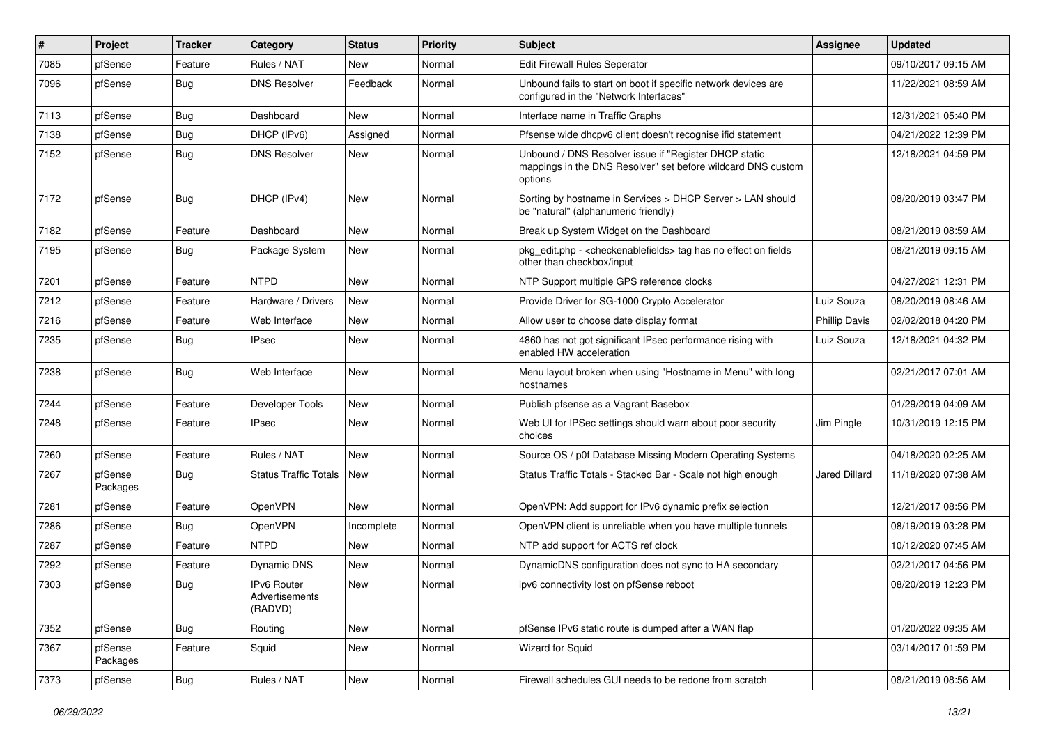| $\#$ | Project             | <b>Tracker</b> | Category                                        | <b>Status</b> | <b>Priority</b> | <b>Subject</b>                                                                                                                   | Assignee             | <b>Updated</b>      |
|------|---------------------|----------------|-------------------------------------------------|---------------|-----------------|----------------------------------------------------------------------------------------------------------------------------------|----------------------|---------------------|
| 7085 | pfSense             | Feature        | Rules / NAT                                     | <b>New</b>    | Normal          | Edit Firewall Rules Seperator                                                                                                    |                      | 09/10/2017 09:15 AM |
| 7096 | pfSense             | <b>Bug</b>     | <b>DNS Resolver</b>                             | Feedback      | Normal          | Unbound fails to start on boot if specific network devices are<br>configured in the "Network Interfaces"                         |                      | 11/22/2021 08:59 AM |
| 7113 | pfSense             | Bug            | Dashboard                                       | <b>New</b>    | Normal          | Interface name in Traffic Graphs                                                                                                 |                      | 12/31/2021 05:40 PM |
| 7138 | pfSense             | Bug            | DHCP (IPv6)                                     | Assigned      | Normal          | Pfsense wide dhcpv6 client doesn't recognise ifid statement                                                                      |                      | 04/21/2022 12:39 PM |
| 7152 | pfSense             | Bug            | <b>DNS Resolver</b>                             | New           | Normal          | Unbound / DNS Resolver issue if "Register DHCP static<br>mappings in the DNS Resolver" set before wildcard DNS custom<br>options |                      | 12/18/2021 04:59 PM |
| 7172 | pfSense             | <b>Bug</b>     | DHCP (IPv4)                                     | <b>New</b>    | Normal          | Sorting by hostname in Services > DHCP Server > LAN should<br>be "natural" (alphanumeric friendly)                               |                      | 08/20/2019 03:47 PM |
| 7182 | pfSense             | Feature        | Dashboard                                       | <b>New</b>    | Normal          | Break up System Widget on the Dashboard                                                                                          |                      | 08/21/2019 08:59 AM |
| 7195 | pfSense             | Bug            | Package System                                  | <b>New</b>    | Normal          | pkg_edit.php - < checkenablefields > tag has no effect on fields<br>other than checkbox/input                                    |                      | 08/21/2019 09:15 AM |
| 7201 | pfSense             | Feature        | <b>NTPD</b>                                     | <b>New</b>    | Normal          | NTP Support multiple GPS reference clocks                                                                                        |                      | 04/27/2021 12:31 PM |
| 7212 | pfSense             | Feature        | Hardware / Drivers                              | <b>New</b>    | Normal          | Provide Driver for SG-1000 Crypto Accelerator                                                                                    | Luiz Souza           | 08/20/2019 08:46 AM |
| 7216 | pfSense             | Feature        | Web Interface                                   | <b>New</b>    | Normal          | Allow user to choose date display format                                                                                         | <b>Phillip Davis</b> | 02/02/2018 04:20 PM |
| 7235 | pfSense             | Bug            | <b>IPsec</b>                                    | <b>New</b>    | Normal          | 4860 has not got significant IPsec performance rising with<br>enabled HW acceleration                                            | Luiz Souza           | 12/18/2021 04:32 PM |
| 7238 | pfSense             | <b>Bug</b>     | Web Interface                                   | New           | Normal          | Menu layout broken when using "Hostname in Menu" with long<br>hostnames                                                          |                      | 02/21/2017 07:01 AM |
| 7244 | pfSense             | Feature        | Developer Tools                                 | <b>New</b>    | Normal          | Publish pfsense as a Vagrant Basebox                                                                                             |                      | 01/29/2019 04:09 AM |
| 7248 | pfSense             | Feature        | <b>IPsec</b>                                    | <b>New</b>    | Normal          | Web UI for IPSec settings should warn about poor security<br>choices                                                             | Jim Pingle           | 10/31/2019 12:15 PM |
| 7260 | pfSense             | Feature        | Rules / NAT                                     | <b>New</b>    | Normal          | Source OS / p0f Database Missing Modern Operating Systems                                                                        |                      | 04/18/2020 02:25 AM |
| 7267 | pfSense<br>Packages | <b>Bug</b>     | Status Traffic Totals                           | <b>New</b>    | Normal          | Status Traffic Totals - Stacked Bar - Scale not high enough                                                                      | Jared Dillard        | 11/18/2020 07:38 AM |
| 7281 | pfSense             | Feature        | OpenVPN                                         | <b>New</b>    | Normal          | OpenVPN: Add support for IPv6 dynamic prefix selection                                                                           |                      | 12/21/2017 08:56 PM |
| 7286 | pfSense             | Bug            | <b>OpenVPN</b>                                  | Incomplete    | Normal          | OpenVPN client is unreliable when you have multiple tunnels                                                                      |                      | 08/19/2019 03:28 PM |
| 7287 | pfSense             | Feature        | <b>NTPD</b>                                     | New           | Normal          | NTP add support for ACTS ref clock                                                                                               |                      | 10/12/2020 07:45 AM |
| 7292 | pfSense             | Feature        | Dynamic DNS                                     | New           | Normal          | DynamicDNS configuration does not sync to HA secondary                                                                           |                      | 02/21/2017 04:56 PM |
| 7303 | pfSense             | Bug            | <b>IPv6 Router</b><br>Advertisements<br>(RADVD) | <b>New</b>    | Normal          | ipv6 connectivity lost on pfSense reboot                                                                                         |                      | 08/20/2019 12:23 PM |
| 7352 | pfSense             | Bug            | Routing                                         | New           | Normal          | pfSense IPv6 static route is dumped after a WAN flap                                                                             |                      | 01/20/2022 09:35 AM |
| 7367 | pfSense<br>Packages | Feature        | Squid                                           | New           | Normal          | Wizard for Squid                                                                                                                 |                      | 03/14/2017 01:59 PM |
| 7373 | pfSense             | <b>Bug</b>     | Rules / NAT                                     | New           | Normal          | Firewall schedules GUI needs to be redone from scratch                                                                           |                      | 08/21/2019 08:56 AM |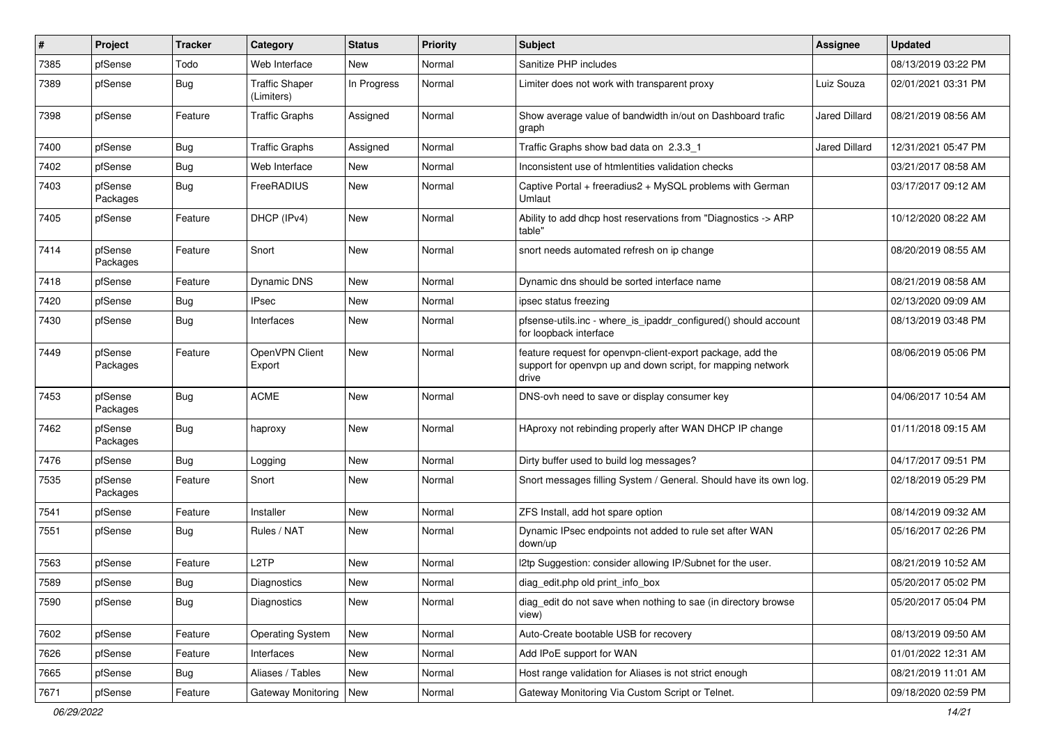| ∦    | Project             | <b>Tracker</b> | Category                            | <b>Status</b> | <b>Priority</b> | <b>Subject</b>                                                                                                                     | Assignee      | <b>Updated</b>      |
|------|---------------------|----------------|-------------------------------------|---------------|-----------------|------------------------------------------------------------------------------------------------------------------------------------|---------------|---------------------|
| 7385 | pfSense             | Todo           | Web Interface                       | New           | Normal          | Sanitize PHP includes                                                                                                              |               | 08/13/2019 03:22 PM |
| 7389 | pfSense             | <b>Bug</b>     | <b>Traffic Shaper</b><br>(Limiters) | In Progress   | Normal          | Limiter does not work with transparent proxy                                                                                       | Luiz Souza    | 02/01/2021 03:31 PM |
| 7398 | pfSense             | Feature        | <b>Traffic Graphs</b>               | Assigned      | Normal          | Show average value of bandwidth in/out on Dashboard trafic<br>graph                                                                | Jared Dillard | 08/21/2019 08:56 AM |
| 7400 | pfSense             | Bug            | <b>Traffic Graphs</b>               | Assigned      | Normal          | Traffic Graphs show bad data on 2.3.3 1                                                                                            | Jared Dillard | 12/31/2021 05:47 PM |
| 7402 | pfSense             | <b>Bug</b>     | Web Interface                       | New           | Normal          | Inconsistent use of htmlentities validation checks                                                                                 |               | 03/21/2017 08:58 AM |
| 7403 | pfSense<br>Packages | <b>Bug</b>     | FreeRADIUS                          | <b>New</b>    | Normal          | Captive Portal + freeradius2 + MySQL problems with German<br>Umlaut                                                                |               | 03/17/2017 09:12 AM |
| 7405 | pfSense             | Feature        | DHCP (IPv4)                         | <b>New</b>    | Normal          | Ability to add dhcp host reservations from "Diagnostics -> ARP<br>table"                                                           |               | 10/12/2020 08:22 AM |
| 7414 | pfSense<br>Packages | Feature        | Snort                               | New           | Normal          | snort needs automated refresh on ip change                                                                                         |               | 08/20/2019 08:55 AM |
| 7418 | pfSense             | Feature        | <b>Dynamic DNS</b>                  | New           | Normal          | Dynamic dns should be sorted interface name                                                                                        |               | 08/21/2019 08:58 AM |
| 7420 | pfSense             | <b>Bug</b>     | <b>IPsec</b>                        | New           | Normal          | ipsec status freezing                                                                                                              |               | 02/13/2020 09:09 AM |
| 7430 | pfSense             | <b>Bug</b>     | Interfaces                          | New           | Normal          | pfsense-utils.inc - where is ipaddr configured() should account<br>for loopback interface                                          |               | 08/13/2019 03:48 PM |
| 7449 | pfSense<br>Packages | Feature        | OpenVPN Client<br>Export            | New           | Normal          | feature request for openypn-client-export package, add the<br>support for openvpn up and down script, for mapping network<br>drive |               | 08/06/2019 05:06 PM |
| 7453 | pfSense<br>Packages | <b>Bug</b>     | <b>ACME</b>                         | New           | Normal          | DNS-ovh need to save or display consumer key                                                                                       |               | 04/06/2017 10:54 AM |
| 7462 | pfSense<br>Packages | Bug            | haproxy                             | New           | Normal          | HAproxy not rebinding properly after WAN DHCP IP change                                                                            |               | 01/11/2018 09:15 AM |
| 7476 | pfSense             | Bug            | Logging                             | New           | Normal          | Dirty buffer used to build log messages?                                                                                           |               | 04/17/2017 09:51 PM |
| 7535 | pfSense<br>Packages | Feature        | Snort                               | New           | Normal          | Snort messages filling System / General. Should have its own log.                                                                  |               | 02/18/2019 05:29 PM |
| 7541 | pfSense             | Feature        | Installer                           | New           | Normal          | ZFS Install, add hot spare option                                                                                                  |               | 08/14/2019 09:32 AM |
| 7551 | pfSense             | <b>Bug</b>     | Rules / NAT                         | New           | Normal          | Dynamic IPsec endpoints not added to rule set after WAN<br>down/up                                                                 |               | 05/16/2017 02:26 PM |
| 7563 | pfSense             | Feature        | L <sub>2</sub> TP                   | New           | Normal          | I2tp Suggestion: consider allowing IP/Subnet for the user.                                                                         |               | 08/21/2019 10:52 AM |
| 7589 | pfSense             | <b>Bug</b>     | Diagnostics                         | New           | Normal          | diag_edit.php old print_info_box                                                                                                   |               | 05/20/2017 05:02 PM |
| 7590 | pfSense             | <b>Bug</b>     | Diagnostics                         | New           | Normal          | diag_edit do not save when nothing to sae (in directory browse<br>view)                                                            |               | 05/20/2017 05:04 PM |
| 7602 | pfSense             | Feature        | <b>Operating System</b>             | New           | Normal          | Auto-Create bootable USB for recovery                                                                                              |               | 08/13/2019 09:50 AM |
| 7626 | pfSense             | Feature        | Interfaces                          | New           | Normal          | Add IPoE support for WAN                                                                                                           |               | 01/01/2022 12:31 AM |
| 7665 | pfSense             | <b>Bug</b>     | Aliases / Tables                    | New           | Normal          | Host range validation for Aliases is not strict enough                                                                             |               | 08/21/2019 11:01 AM |
| 7671 | pfSense             | Feature        | Gateway Monitoring                  | New           | Normal          | Gateway Monitoring Via Custom Script or Telnet.                                                                                    |               | 09/18/2020 02:59 PM |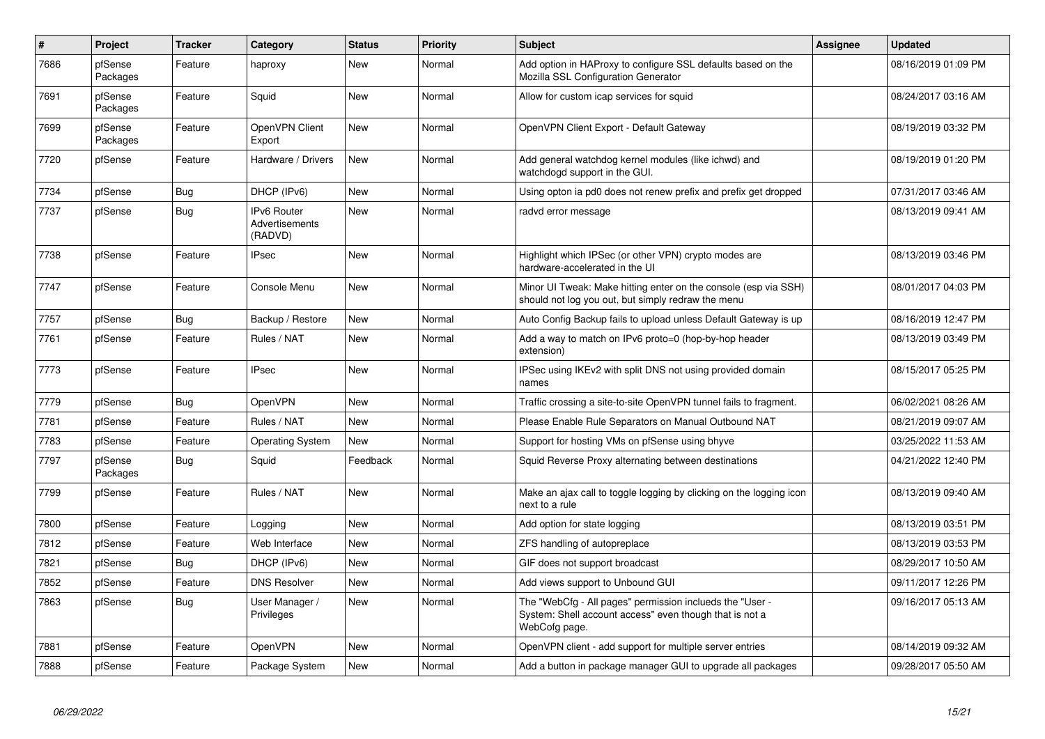| $\vert$ # | Project             | <b>Tracker</b> | Category                                               | <b>Status</b> | <b>Priority</b> | <b>Subject</b>                                                                                                                       | Assignee | <b>Updated</b>      |
|-----------|---------------------|----------------|--------------------------------------------------------|---------------|-----------------|--------------------------------------------------------------------------------------------------------------------------------------|----------|---------------------|
| 7686      | pfSense<br>Packages | Feature        | haproxy                                                | <b>New</b>    | Normal          | Add option in HAProxy to configure SSL defaults based on the<br>Mozilla SSL Configuration Generator                                  |          | 08/16/2019 01:09 PM |
| 7691      | pfSense<br>Packages | Feature        | Squid                                                  | New           | Normal          | Allow for custom icap services for squid                                                                                             |          | 08/24/2017 03:16 AM |
| 7699      | pfSense<br>Packages | Feature        | OpenVPN Client<br>Export                               | New           | Normal          | OpenVPN Client Export - Default Gateway                                                                                              |          | 08/19/2019 03:32 PM |
| 7720      | pfSense             | Feature        | Hardware / Drivers                                     | New           | Normal          | Add general watchdog kernel modules (like ichwd) and<br>watchdogd support in the GUI.                                                |          | 08/19/2019 01:20 PM |
| 7734      | pfSense             | Bug            | DHCP (IPv6)                                            | <b>New</b>    | Normal          | Using opton ia pd0 does not renew prefix and prefix get dropped                                                                      |          | 07/31/2017 03:46 AM |
| 7737      | pfSense             | Bug            | <b>IPv6 Router</b><br><b>Advertisements</b><br>(RADVD) | New           | Normal          | radvd error message                                                                                                                  |          | 08/13/2019 09:41 AM |
| 7738      | pfSense             | Feature        | <b>IPsec</b>                                           | <b>New</b>    | Normal          | Highlight which IPSec (or other VPN) crypto modes are<br>hardware-accelerated in the UI                                              |          | 08/13/2019 03:46 PM |
| 7747      | pfSense             | Feature        | Console Menu                                           | <b>New</b>    | Normal          | Minor UI Tweak: Make hitting enter on the console (esp via SSH)<br>should not log you out, but simply redraw the menu                |          | 08/01/2017 04:03 PM |
| 7757      | pfSense             | Bua            | Backup / Restore                                       | <b>New</b>    | Normal          | Auto Config Backup fails to upload unless Default Gateway is up                                                                      |          | 08/16/2019 12:47 PM |
| 7761      | pfSense             | Feature        | Rules / NAT                                            | <b>New</b>    | Normal          | Add a way to match on IPv6 proto=0 (hop-by-hop header<br>extension)                                                                  |          | 08/13/2019 03:49 PM |
| 7773      | pfSense             | Feature        | <b>IPsec</b>                                           | <b>New</b>    | Normal          | IPSec using IKEv2 with split DNS not using provided domain<br>names                                                                  |          | 08/15/2017 05:25 PM |
| 7779      | pfSense             | Bug            | OpenVPN                                                | New           | Normal          | Traffic crossing a site-to-site OpenVPN tunnel fails to fragment.                                                                    |          | 06/02/2021 08:26 AM |
| 7781      | pfSense             | Feature        | Rules / NAT                                            | <b>New</b>    | Normal          | Please Enable Rule Separators on Manual Outbound NAT                                                                                 |          | 08/21/2019 09:07 AM |
| 7783      | pfSense             | Feature        | <b>Operating System</b>                                | <b>New</b>    | Normal          | Support for hosting VMs on pfSense using bhyve                                                                                       |          | 03/25/2022 11:53 AM |
| 7797      | pfSense<br>Packages | <b>Bug</b>     | Squid                                                  | Feedback      | Normal          | Squid Reverse Proxy alternating between destinations                                                                                 |          | 04/21/2022 12:40 PM |
| 7799      | pfSense             | Feature        | Rules / NAT                                            | <b>New</b>    | Normal          | Make an ajax call to toggle logging by clicking on the logging icon<br>next to a rule                                                |          | 08/13/2019 09:40 AM |
| 7800      | pfSense             | Feature        | Logging                                                | <b>New</b>    | Normal          | Add option for state logging                                                                                                         |          | 08/13/2019 03:51 PM |
| 7812      | pfSense             | Feature        | Web Interface                                          | <b>New</b>    | Normal          | ZFS handling of autopreplace                                                                                                         |          | 08/13/2019 03:53 PM |
| 7821      | pfSense             | Bug            | DHCP (IPv6)                                            | <b>New</b>    | Normal          | GIF does not support broadcast                                                                                                       |          | 08/29/2017 10:50 AM |
| 7852      | pfSense             | Feature        | <b>DNS Resolver</b>                                    | <b>New</b>    | Normal          | Add views support to Unbound GUI                                                                                                     |          | 09/11/2017 12:26 PM |
| 7863      | pfSense             | <b>Bug</b>     | User Manager /<br>Privileges                           | <b>New</b>    | Normal          | The "WebCfg - All pages" permission inclueds the "User -<br>System: Shell account access" even though that is not a<br>WebCofg page. |          | 09/16/2017 05:13 AM |
| 7881      | pfSense             | Feature        | <b>OpenVPN</b>                                         | New           | Normal          | OpenVPN client - add support for multiple server entries                                                                             |          | 08/14/2019 09:32 AM |
| 7888      | pfSense             | Feature        | Package System                                         | <b>New</b>    | Normal          | Add a button in package manager GUI to upgrade all packages                                                                          |          | 09/28/2017 05:50 AM |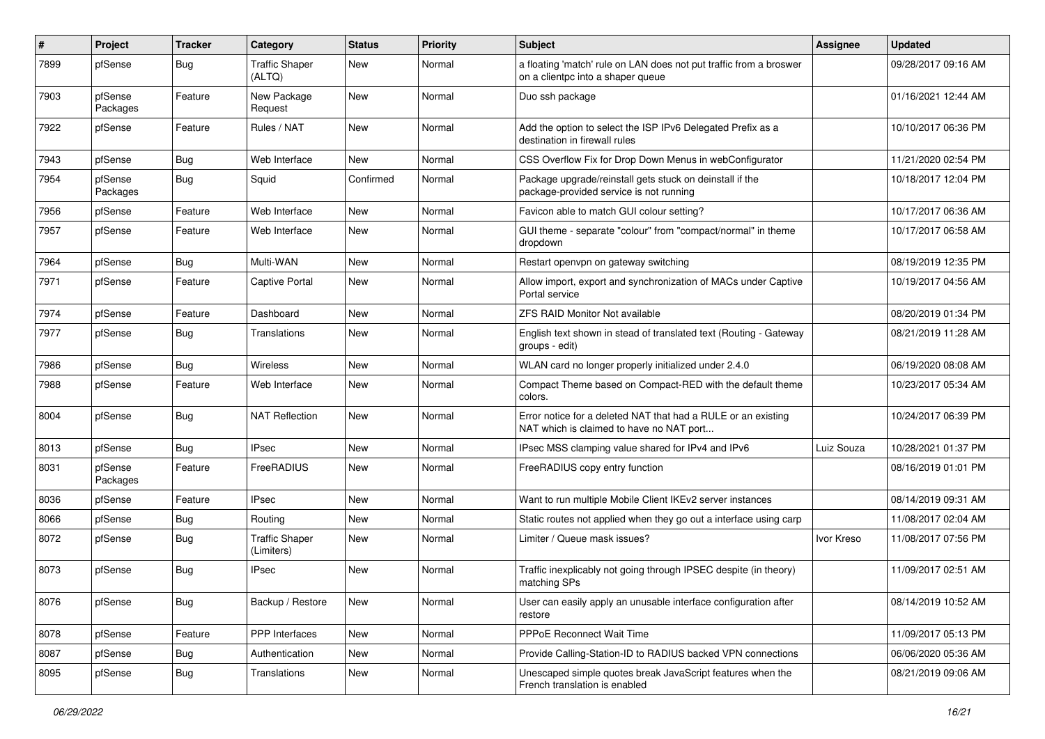| #    | Project             | <b>Tracker</b> | Category                            | <b>Status</b> | <b>Priority</b> | Subject                                                                                                   | Assignee   | <b>Updated</b>      |
|------|---------------------|----------------|-------------------------------------|---------------|-----------------|-----------------------------------------------------------------------------------------------------------|------------|---------------------|
| 7899 | pfSense             | <b>Bug</b>     | <b>Traffic Shaper</b><br>(ALTQ)     | New           | Normal          | a floating 'match' rule on LAN does not put traffic from a broswer<br>on a clientpc into a shaper queue   |            | 09/28/2017 09:16 AM |
| 7903 | pfSense<br>Packages | Feature        | New Package<br>Request              | New           | Normal          | Duo ssh package                                                                                           |            | 01/16/2021 12:44 AM |
| 7922 | pfSense             | Feature        | Rules / NAT                         | New           | Normal          | Add the option to select the ISP IPv6 Delegated Prefix as a<br>destination in firewall rules              |            | 10/10/2017 06:36 PM |
| 7943 | pfSense             | <b>Bug</b>     | Web Interface                       | New           | Normal          | CSS Overflow Fix for Drop Down Menus in webConfigurator                                                   |            | 11/21/2020 02:54 PM |
| 7954 | pfSense<br>Packages | Bug            | Squid                               | Confirmed     | Normal          | Package upgrade/reinstall gets stuck on deinstall if the<br>package-provided service is not running       |            | 10/18/2017 12:04 PM |
| 7956 | pfSense             | Feature        | Web Interface                       | <b>New</b>    | Normal          | Favicon able to match GUI colour setting?                                                                 |            | 10/17/2017 06:36 AM |
| 7957 | pfSense             | Feature        | Web Interface                       | New           | Normal          | GUI theme - separate "colour" from "compact/normal" in theme<br>dropdown                                  |            | 10/17/2017 06:58 AM |
| 7964 | pfSense             | Bug            | Multi-WAN                           | New           | Normal          | Restart openvpn on gateway switching                                                                      |            | 08/19/2019 12:35 PM |
| 7971 | pfSense             | Feature        | <b>Captive Portal</b>               | New           | Normal          | Allow import, export and synchronization of MACs under Captive<br>Portal service                          |            | 10/19/2017 04:56 AM |
| 7974 | pfSense             | Feature        | Dashboard                           | <b>New</b>    | Normal          | <b>ZFS RAID Monitor Not available</b>                                                                     |            | 08/20/2019 01:34 PM |
| 7977 | pfSense             | <b>Bug</b>     | Translations                        | New           | Normal          | English text shown in stead of translated text (Routing - Gateway<br>groups - edit)                       |            | 08/21/2019 11:28 AM |
| 7986 | pfSense             | <b>Bug</b>     | <b>Wireless</b>                     | New           | Normal          | WLAN card no longer properly initialized under 2.4.0                                                      |            | 06/19/2020 08:08 AM |
| 7988 | pfSense             | Feature        | Web Interface                       | New           | Normal          | Compact Theme based on Compact-RED with the default theme<br>colors.                                      |            | 10/23/2017 05:34 AM |
| 8004 | pfSense             | Bug            | <b>NAT Reflection</b>               | New           | Normal          | Error notice for a deleted NAT that had a RULE or an existing<br>NAT which is claimed to have no NAT port |            | 10/24/2017 06:39 PM |
| 8013 | pfSense             | Bug            | <b>IPsec</b>                        | <b>New</b>    | Normal          | IPsec MSS clamping value shared for IPv4 and IPv6                                                         | Luiz Souza | 10/28/2021 01:37 PM |
| 8031 | pfSense<br>Packages | Feature        | FreeRADIUS                          | New           | Normal          | FreeRADIUS copy entry function                                                                            |            | 08/16/2019 01:01 PM |
| 8036 | pfSense             | Feature        | <b>IPsec</b>                        | <b>New</b>    | Normal          | Want to run multiple Mobile Client IKEv2 server instances                                                 |            | 08/14/2019 09:31 AM |
| 8066 | pfSense             | Bug            | Routing                             | New           | Normal          | Static routes not applied when they go out a interface using carp                                         |            | 11/08/2017 02:04 AM |
| 8072 | pfSense             | Bug            | <b>Traffic Shaper</b><br>(Limiters) | <b>New</b>    | Normal          | Limiter / Queue mask issues?                                                                              | Ivor Kreso | 11/08/2017 07:56 PM |
| 8073 | pfSense             | Bug            | IPsec                               | New           | Normal          | Traffic inexplicably not going through IPSEC despite (in theory)<br>matching SPs                          |            | 11/09/2017 02:51 AM |
| 8076 | pfSense             | Bug            | Backup / Restore                    | New           | Normal          | User can easily apply an unusable interface configuration after<br>restore                                |            | 08/14/2019 10:52 AM |
| 8078 | pfSense             | Feature        | PPP Interfaces                      | New           | Normal          | PPPoE Reconnect Wait Time                                                                                 |            | 11/09/2017 05:13 PM |
| 8087 | pfSense             | Bug            | Authentication                      | New           | Normal          | Provide Calling-Station-ID to RADIUS backed VPN connections                                               |            | 06/06/2020 05:36 AM |
| 8095 | pfSense             | <b>Bug</b>     | Translations                        | New           | Normal          | Unescaped simple quotes break JavaScript features when the<br>French translation is enabled               |            | 08/21/2019 09:06 AM |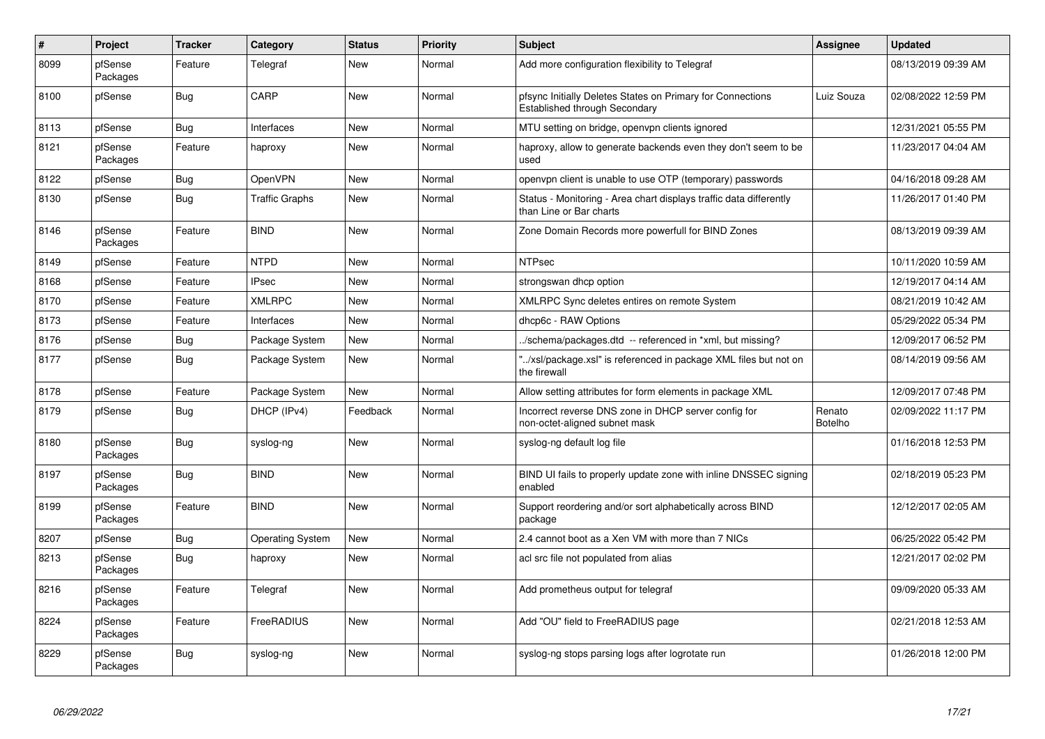| $\pmb{\sharp}$ | <b>Project</b>      | <b>Tracker</b> | Category                | <b>Status</b> | <b>Priority</b> | <b>Subject</b>                                                                                | Assignee                 | <b>Updated</b>      |
|----------------|---------------------|----------------|-------------------------|---------------|-----------------|-----------------------------------------------------------------------------------------------|--------------------------|---------------------|
| 8099           | pfSense<br>Packages | Feature        | Telegraf                | <b>New</b>    | Normal          | Add more configuration flexibility to Telegraf                                                |                          | 08/13/2019 09:39 AM |
| 8100           | pfSense             | Bug            | CARP                    | <b>New</b>    | Normal          | pfsync Initially Deletes States on Primary for Connections<br>Established through Secondary   | Luiz Souza               | 02/08/2022 12:59 PM |
| 8113           | pfSense             | Bug            | Interfaces              | <b>New</b>    | Normal          | MTU setting on bridge, openvpn clients ignored                                                |                          | 12/31/2021 05:55 PM |
| 8121           | pfSense<br>Packages | Feature        | haproxy                 | New           | Normal          | haproxy, allow to generate backends even they don't seem to be<br>used                        |                          | 11/23/2017 04:04 AM |
| 8122           | pfSense             | <b>Bug</b>     | <b>OpenVPN</b>          | <b>New</b>    | Normal          | openvpn client is unable to use OTP (temporary) passwords                                     |                          | 04/16/2018 09:28 AM |
| 8130           | pfSense             | Bug            | Traffic Graphs          | New           | Normal          | Status - Monitoring - Area chart displays traffic data differently<br>than Line or Bar charts |                          | 11/26/2017 01:40 PM |
| 8146           | pfSense<br>Packages | Feature        | <b>BIND</b>             | <b>New</b>    | Normal          | Zone Domain Records more powerfull for BIND Zones                                             |                          | 08/13/2019 09:39 AM |
| 8149           | pfSense             | Feature        | <b>NTPD</b>             | <b>New</b>    | Normal          | <b>NTPsec</b>                                                                                 |                          | 10/11/2020 10:59 AM |
| 8168           | pfSense             | Feature        | <b>IPsec</b>            | <b>New</b>    | Normal          | strongswan dhcp option                                                                        |                          | 12/19/2017 04:14 AM |
| 8170           | pfSense             | Feature        | <b>XMLRPC</b>           | <b>New</b>    | Normal          | XMLRPC Sync deletes entires on remote System                                                  |                          | 08/21/2019 10:42 AM |
| 8173           | pfSense             | Feature        | Interfaces              | New           | Normal          | dhcp6c - RAW Options                                                                          |                          | 05/29/2022 05:34 PM |
| 8176           | pfSense             | <b>Bug</b>     | Package System          | New           | Normal          | /schema/packages.dtd -- referenced in *xml, but missing?                                      |                          | 12/09/2017 06:52 PM |
| 8177           | pfSense             | Bug            | Package System          | New           | Normal          | '/xsl/package.xsl" is referenced in package XML files but not on<br>the firewall              |                          | 08/14/2019 09:56 AM |
| 8178           | pfSense             | Feature        | Package System          | New           | Normal          | Allow setting attributes for form elements in package XML                                     |                          | 12/09/2017 07:48 PM |
| 8179           | pfSense             | <b>Bug</b>     | DHCP (IPv4)             | Feedback      | Normal          | Incorrect reverse DNS zone in DHCP server config for<br>non-octet-aligned subnet mask         | Renato<br><b>Botelho</b> | 02/09/2022 11:17 PM |
| 8180           | pfSense<br>Packages | <b>Bug</b>     | syslog-ng               | <b>New</b>    | Normal          | syslog-ng default log file                                                                    |                          | 01/16/2018 12:53 PM |
| 8197           | pfSense<br>Packages | <b>Bug</b>     | <b>BIND</b>             | <b>New</b>    | Normal          | BIND UI fails to properly update zone with inline DNSSEC signing<br>enabled                   |                          | 02/18/2019 05:23 PM |
| 8199           | pfSense<br>Packages | Feature        | <b>BIND</b>             | <b>New</b>    | Normal          | Support reordering and/or sort alphabetically across BIND<br>package                          |                          | 12/12/2017 02:05 AM |
| 8207           | pfSense             | Bug            | <b>Operating System</b> | <b>New</b>    | Normal          | 2.4 cannot boot as a Xen VM with more than 7 NICs                                             |                          | 06/25/2022 05:42 PM |
| 8213           | pfSense<br>Packages | <b>Bug</b>     | haproxy                 | New           | Normal          | acl src file not populated from alias                                                         |                          | 12/21/2017 02:02 PM |
| 8216           | pfSense<br>Packages | Feature        | Telegraf                | <b>New</b>    | Normal          | Add prometheus output for telegraf                                                            |                          | 09/09/2020 05:33 AM |
| 8224           | pfSense<br>Packages | Feature        | FreeRADIUS              | New           | Normal          | Add "OU" field to FreeRADIUS page                                                             |                          | 02/21/2018 12:53 AM |
| 8229           | pfSense<br>Packages | <b>Bug</b>     | syslog-ng               | <b>New</b>    | Normal          | syslog-ng stops parsing logs after logrotate run                                              |                          | 01/26/2018 12:00 PM |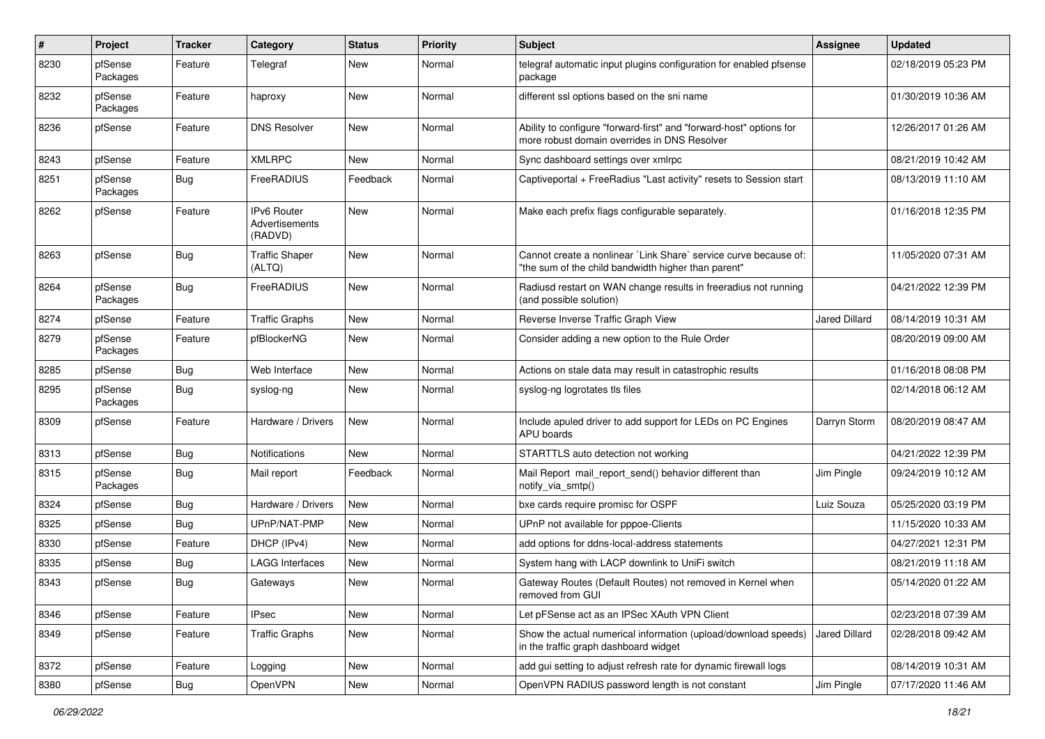| $\#$ | Project             | Tracker    | Category                                        | <b>Status</b> | <b>Priority</b> | <b>Subject</b>                                                                                                          | Assignee             | <b>Updated</b>      |
|------|---------------------|------------|-------------------------------------------------|---------------|-----------------|-------------------------------------------------------------------------------------------------------------------------|----------------------|---------------------|
| 8230 | pfSense<br>Packages | Feature    | Telegraf                                        | New           | Normal          | telegraf automatic input plugins configuration for enabled pfsense<br>package                                           |                      | 02/18/2019 05:23 PM |
| 8232 | pfSense<br>Packages | Feature    | haproxy                                         | New           | Normal          | different ssl options based on the sni name                                                                             |                      | 01/30/2019 10:36 AM |
| 8236 | pfSense             | Feature    | <b>DNS Resolver</b>                             | New           | Normal          | Ability to configure "forward-first" and "forward-host" options for<br>more robust domain overrides in DNS Resolver     |                      | 12/26/2017 01:26 AM |
| 8243 | pfSense             | Feature    | <b>XMLRPC</b>                                   | <b>New</b>    | Normal          | Sync dashboard settings over xmlrpc                                                                                     |                      | 08/21/2019 10:42 AM |
| 8251 | pfSense<br>Packages | Bug        | FreeRADIUS                                      | Feedback      | Normal          | Captiveportal + FreeRadius "Last activity" resets to Session start                                                      |                      | 08/13/2019 11:10 AM |
| 8262 | pfSense             | Feature    | <b>IPv6 Router</b><br>Advertisements<br>(RADVD) | New           | Normal          | Make each prefix flags configurable separately.                                                                         |                      | 01/16/2018 12:35 PM |
| 8263 | pfSense             | Bug        | <b>Traffic Shaper</b><br>(ALTQ)                 | New           | Normal          | Cannot create a nonlinear `Link Share` service curve because of:<br>"the sum of the child bandwidth higher than parent" |                      | 11/05/2020 07:31 AM |
| 8264 | pfSense<br>Packages | <b>Bug</b> | FreeRADIUS                                      | New           | Normal          | Radiusd restart on WAN change results in freeradius not running<br>(and possible solution)                              |                      | 04/21/2022 12:39 PM |
| 8274 | pfSense             | Feature    | <b>Traffic Graphs</b>                           | <b>New</b>    | Normal          | Reverse Inverse Traffic Graph View                                                                                      | Jared Dillard        | 08/14/2019 10:31 AM |
| 8279 | pfSense<br>Packages | Feature    | pfBlockerNG                                     | New           | Normal          | Consider adding a new option to the Rule Order                                                                          |                      | 08/20/2019 09:00 AM |
| 8285 | pfSense             | <b>Bug</b> | Web Interface                                   | New           | Normal          | Actions on stale data may result in catastrophic results                                                                |                      | 01/16/2018 08:08 PM |
| 8295 | pfSense<br>Packages | <b>Bug</b> | syslog-ng                                       | New           | Normal          | syslog-ng logrotates tls files                                                                                          |                      | 02/14/2018 06:12 AM |
| 8309 | pfSense             | Feature    | Hardware / Drivers                              | New           | Normal          | Include apuled driver to add support for LEDs on PC Engines<br>APU boards                                               | Darryn Storm         | 08/20/2019 08:47 AM |
| 8313 | pfSense             | <b>Bug</b> | Notifications                                   | <b>New</b>    | Normal          | STARTTLS auto detection not working                                                                                     |                      | 04/21/2022 12:39 PM |
| 8315 | pfSense<br>Packages | <b>Bug</b> | Mail report                                     | Feedback      | Normal          | Mail Report mail report send() behavior different than<br>notify_via_smtp()                                             | Jim Pingle           | 09/24/2019 10:12 AM |
| 8324 | pfSense             | <b>Bug</b> | Hardware / Drivers                              | New           | Normal          | bxe cards require promisc for OSPF                                                                                      | Luiz Souza           | 05/25/2020 03:19 PM |
| 8325 | pfSense             | <b>Bug</b> | UPnP/NAT-PMP                                    | New           | Normal          | UPnP not available for pppoe-Clients                                                                                    |                      | 11/15/2020 10:33 AM |
| 8330 | pfSense             | Feature    | DHCP (IPv4)                                     | New           | Normal          | add options for ddns-local-address statements                                                                           |                      | 04/27/2021 12:31 PM |
| 8335 | pfSense             | Bug        | LAGG Interfaces                                 | New           | Normal          | System hang with LACP downlink to UniFi switch                                                                          |                      | 08/21/2019 11:18 AM |
| 8343 | pfSense             | <b>Bug</b> | Gateways                                        | New           | Normal          | Gateway Routes (Default Routes) not removed in Kernel when<br>removed from GUI                                          |                      | 05/14/2020 01:22 AM |
| 8346 | pfSense             | Feature    | <b>IPsec</b>                                    | New           | Normal          | Let pFSense act as an IPSec XAuth VPN Client                                                                            |                      | 02/23/2018 07:39 AM |
| 8349 | pfSense             | Feature    | <b>Traffic Graphs</b>                           | New           | Normal          | Show the actual numerical information (upload/download speeds)<br>in the traffic graph dashboard widget                 | <b>Jared Dillard</b> | 02/28/2018 09:42 AM |
| 8372 | pfSense             | Feature    | Logging                                         | New           | Normal          | add gui setting to adjust refresh rate for dynamic firewall logs                                                        |                      | 08/14/2019 10:31 AM |
| 8380 | pfSense             | Bug        | <b>OpenVPN</b>                                  | New           | Normal          | OpenVPN RADIUS password length is not constant                                                                          | Jim Pingle           | 07/17/2020 11:46 AM |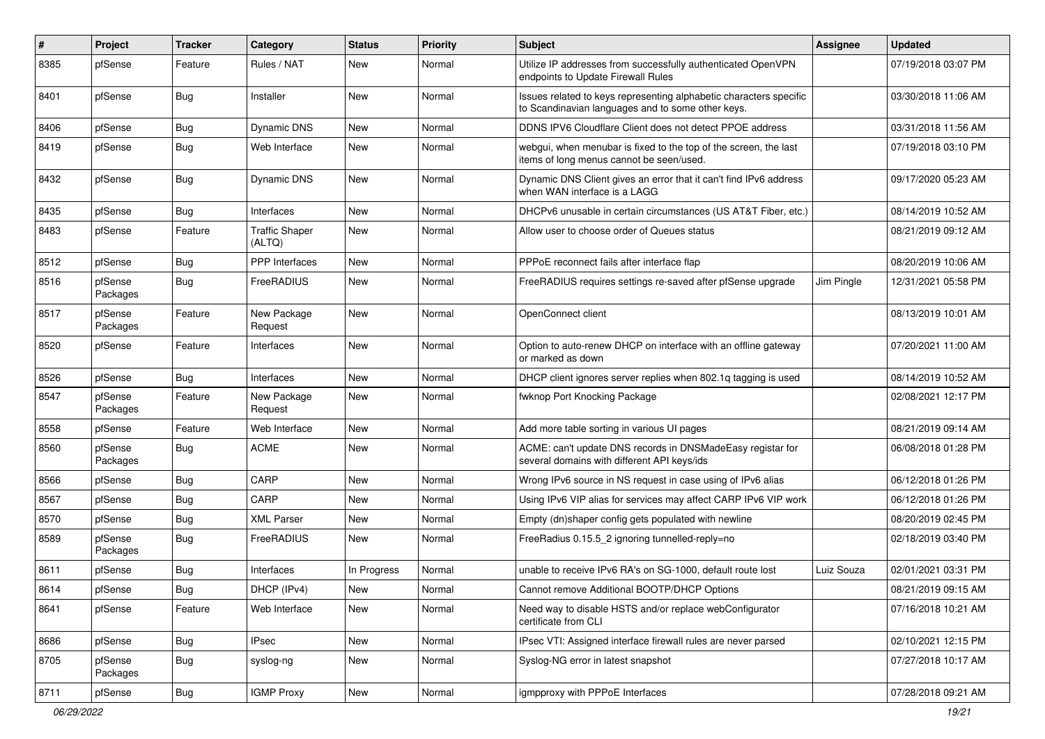| ∦    | Project             | <b>Tracker</b> | Category                        | <b>Status</b> | <b>Priority</b> | <b>Subject</b>                                                                                                          | Assignee   | <b>Updated</b>      |
|------|---------------------|----------------|---------------------------------|---------------|-----------------|-------------------------------------------------------------------------------------------------------------------------|------------|---------------------|
| 8385 | pfSense             | Feature        | Rules / NAT                     | New           | Normal          | Utilize IP addresses from successfully authenticated OpenVPN<br>endpoints to Update Firewall Rules                      |            | 07/19/2018 03:07 PM |
| 8401 | pfSense             | Bug            | Installer                       | New           | Normal          | Issues related to keys representing alphabetic characters specific<br>to Scandinavian languages and to some other keys. |            | 03/30/2018 11:06 AM |
| 8406 | pfSense             | Bug            | <b>Dynamic DNS</b>              | New           | Normal          | DDNS IPV6 Cloudflare Client does not detect PPOE address                                                                |            | 03/31/2018 11:56 AM |
| 8419 | pfSense             | <b>Bug</b>     | Web Interface                   | <b>New</b>    | Normal          | webgui, when menubar is fixed to the top of the screen, the last<br>items of long menus cannot be seen/used.            |            | 07/19/2018 03:10 PM |
| 8432 | pfSense             | Bug            | <b>Dynamic DNS</b>              | <b>New</b>    | Normal          | Dynamic DNS Client gives an error that it can't find IPv6 address<br>when WAN interface is a LAGG                       |            | 09/17/2020 05:23 AM |
| 8435 | pfSense             | Bug            | Interfaces                      | <b>New</b>    | Normal          | DHCPv6 unusable in certain circumstances (US AT&T Fiber, etc.)                                                          |            | 08/14/2019 10:52 AM |
| 8483 | pfSense             | Feature        | <b>Traffic Shaper</b><br>(ALTQ) | New           | Normal          | Allow user to choose order of Queues status                                                                             |            | 08/21/2019 09:12 AM |
| 8512 | pfSense             | Bug            | PPP Interfaces                  | <b>New</b>    | Normal          | PPPoE reconnect fails after interface flap                                                                              |            | 08/20/2019 10:06 AM |
| 8516 | pfSense<br>Packages | <b>Bug</b>     | <b>FreeRADIUS</b>               | New           | Normal          | FreeRADIUS requires settings re-saved after pfSense upgrade                                                             | Jim Pingle | 12/31/2021 05:58 PM |
| 8517 | pfSense<br>Packages | Feature        | New Package<br>Request          | <b>New</b>    | Normal          | OpenConnect client                                                                                                      |            | 08/13/2019 10:01 AM |
| 8520 | pfSense             | Feature        | Interfaces                      | New           | Normal          | Option to auto-renew DHCP on interface with an offline gateway<br>or marked as down                                     |            | 07/20/2021 11:00 AM |
| 8526 | pfSense             | Bug            | Interfaces                      | <b>New</b>    | Normal          | DHCP client ignores server replies when 802.1q tagging is used                                                          |            | 08/14/2019 10:52 AM |
| 8547 | pfSense<br>Packages | Feature        | New Package<br>Request          | <b>New</b>    | Normal          | fwknop Port Knocking Package                                                                                            |            | 02/08/2021 12:17 PM |
| 8558 | pfSense             | Feature        | Web Interface                   | New           | Normal          | Add more table sorting in various UI pages                                                                              |            | 08/21/2019 09:14 AM |
| 8560 | pfSense<br>Packages | <b>Bug</b>     | <b>ACME</b>                     | New           | Normal          | ACME: can't update DNS records in DNSMadeEasy registar for<br>several domains with different API keys/ids               |            | 06/08/2018 01:28 PM |
| 8566 | pfSense             | Bug            | CARP                            | New           | Normal          | Wrong IPv6 source in NS request in case using of IPv6 alias                                                             |            | 06/12/2018 01:26 PM |
| 8567 | pfSense             | Bug            | CARP                            | <b>New</b>    | Normal          | Using IPv6 VIP alias for services may affect CARP IPv6 VIP work                                                         |            | 06/12/2018 01:26 PM |
| 8570 | pfSense             | <b>Bug</b>     | <b>XML Parser</b>               | New           | Normal          | Empty (dn)shaper config gets populated with newline                                                                     |            | 08/20/2019 02:45 PM |
| 8589 | pfSense<br>Packages | <b>Bug</b>     | FreeRADIUS                      | <b>New</b>    | Normal          | FreeRadius 0.15.5_2 ignoring tunnelled-reply=no                                                                         |            | 02/18/2019 03:40 PM |
| 8611 | pfSense             | <b>Bug</b>     | Interfaces                      | In Progress   | Normal          | unable to receive IPv6 RA's on SG-1000, default route lost                                                              | Luiz Souza | 02/01/2021 03:31 PM |
| 8614 | pfSense             | <b>Bug</b>     | DHCP (IPv4)                     | New           | Normal          | Cannot remove Additional BOOTP/DHCP Options                                                                             |            | 08/21/2019 09:15 AM |
| 8641 | pfSense             | Feature        | Web Interface                   | New           | Normal          | Need way to disable HSTS and/or replace webConfigurator<br>certificate from CLI                                         |            | 07/16/2018 10:21 AM |
| 8686 | pfSense             | Bug            | <b>IPsec</b>                    | New           | Normal          | IPsec VTI: Assigned interface firewall rules are never parsed                                                           |            | 02/10/2021 12:15 PM |
| 8705 | pfSense<br>Packages | <b>Bug</b>     | syslog-ng                       | New           | Normal          | Syslog-NG error in latest snapshot                                                                                      |            | 07/27/2018 10:17 AM |
| 8711 | pfSense             | <b>Bug</b>     | <b>IGMP Proxy</b>               | New           | Normal          | igmpproxy with PPPoE Interfaces                                                                                         |            | 07/28/2018 09:21 AM |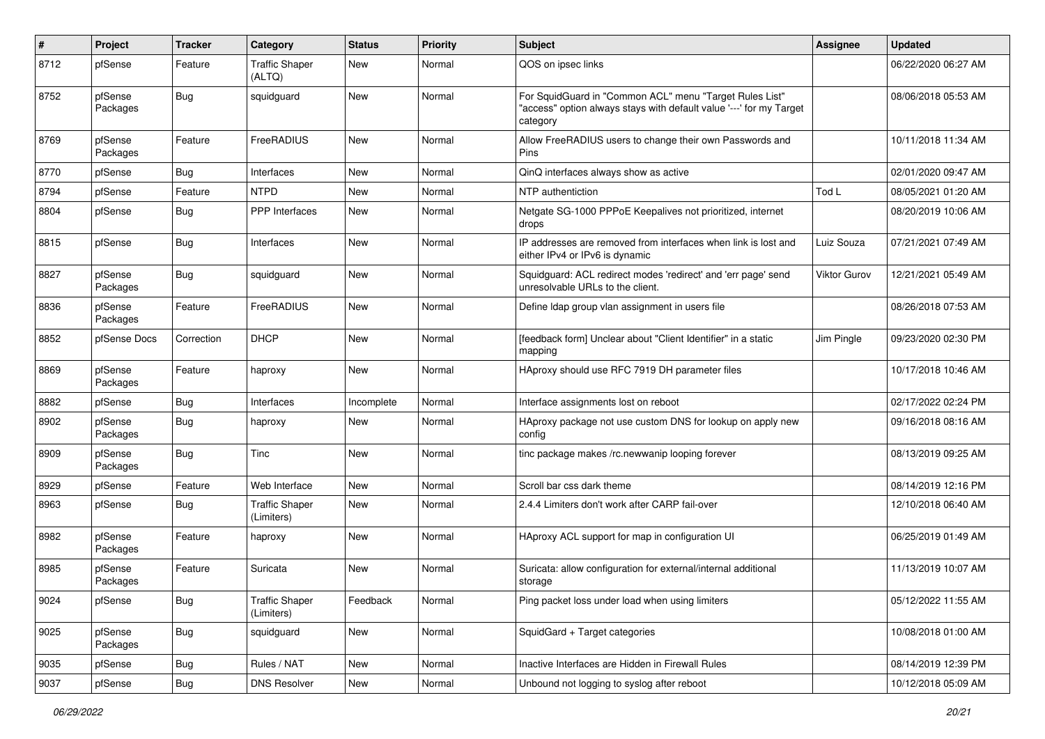| $\pmb{\#}$ | Project             | <b>Tracker</b> | Category                            | <b>Status</b> | <b>Priority</b> | <b>Subject</b>                                                                                                                             | <b>Assignee</b> | <b>Updated</b>      |
|------------|---------------------|----------------|-------------------------------------|---------------|-----------------|--------------------------------------------------------------------------------------------------------------------------------------------|-----------------|---------------------|
| 8712       | pfSense             | Feature        | <b>Traffic Shaper</b><br>(ALTQ)     | New           | Normal          | QOS on ipsec links                                                                                                                         |                 | 06/22/2020 06:27 AM |
| 8752       | pfSense<br>Packages | <b>Bug</b>     | squidguard                          | New           | Normal          | For SquidGuard in "Common ACL" menu "Target Rules List"<br>"access" option always stays with default value '---' for my Target<br>category |                 | 08/06/2018 05:53 AM |
| 8769       | pfSense<br>Packages | Feature        | FreeRADIUS                          | <b>New</b>    | Normal          | Allow FreeRADIUS users to change their own Passwords and<br>Pins                                                                           |                 | 10/11/2018 11:34 AM |
| 8770       | pfSense             | <b>Bug</b>     | Interfaces                          | <b>New</b>    | Normal          | QinQ interfaces always show as active                                                                                                      |                 | 02/01/2020 09:47 AM |
| 8794       | pfSense             | Feature        | <b>NTPD</b>                         | New           | Normal          | NTP authentiction                                                                                                                          | Tod L           | 08/05/2021 01:20 AM |
| 8804       | pfSense             | <b>Bug</b>     | <b>PPP</b> Interfaces               | New           | Normal          | Netgate SG-1000 PPPoE Keepalives not prioritized, internet<br>drops                                                                        |                 | 08/20/2019 10:06 AM |
| 8815       | pfSense             | <b>Bug</b>     | Interfaces                          | New           | Normal          | IP addresses are removed from interfaces when link is lost and<br>either IPv4 or IPv6 is dynamic                                           | Luiz Souza      | 07/21/2021 07:49 AM |
| 8827       | pfSense<br>Packages | Bug            | squidguard                          | <b>New</b>    | Normal          | Squidguard: ACL redirect modes 'redirect' and 'err page' send<br>unresolvable URLs to the client.                                          | Viktor Gurov    | 12/21/2021 05:49 AM |
| 8836       | pfSense<br>Packages | Feature        | FreeRADIUS                          | <b>New</b>    | Normal          | Define Idap group vlan assignment in users file                                                                                            |                 | 08/26/2018 07:53 AM |
| 8852       | pfSense Docs        | Correction     | <b>DHCP</b>                         | New           | Normal          | [feedback form] Unclear about "Client Identifier" in a static<br>mapping                                                                   | Jim Pingle      | 09/23/2020 02:30 PM |
| 8869       | pfSense<br>Packages | Feature        | haproxy                             | <b>New</b>    | Normal          | HAproxy should use RFC 7919 DH parameter files                                                                                             |                 | 10/17/2018 10:46 AM |
| 8882       | pfSense             | <b>Bug</b>     | Interfaces                          | Incomplete    | Normal          | Interface assignments lost on reboot                                                                                                       |                 | 02/17/2022 02:24 PM |
| 8902       | pfSense<br>Packages | Bug            | haproxy                             | New           | Normal          | HAproxy package not use custom DNS for lookup on apply new<br>config                                                                       |                 | 09/16/2018 08:16 AM |
| 8909       | pfSense<br>Packages | Bug            | Tinc                                | <b>New</b>    | Normal          | tinc package makes /rc.newwanip looping forever                                                                                            |                 | 08/13/2019 09:25 AM |
| 8929       | pfSense             | Feature        | Web Interface                       | <b>New</b>    | Normal          | Scroll bar css dark theme                                                                                                                  |                 | 08/14/2019 12:16 PM |
| 8963       | pfSense             | <b>Bug</b>     | <b>Traffic Shaper</b><br>(Limiters) | New           | Normal          | 2.4.4 Limiters don't work after CARP fail-over                                                                                             |                 | 12/10/2018 06:40 AM |
| 8982       | pfSense<br>Packages | Feature        | haproxy                             | New           | Normal          | HAproxy ACL support for map in configuration UI                                                                                            |                 | 06/25/2019 01:49 AM |
| 8985       | pfSense<br>Packages | Feature        | Suricata                            | New           | Normal          | Suricata: allow configuration for external/internal additional<br>storage                                                                  |                 | 11/13/2019 10:07 AM |
| 9024       | pfSense             | <b>Bug</b>     | <b>Traffic Shaper</b><br>(Limiters) | Feedback      | Normal          | Ping packet loss under load when using limiters                                                                                            |                 | 05/12/2022 11:55 AM |
| 9025       | pfSense<br>Packages | <b>Bug</b>     | squidguard                          | New           | Normal          | SquidGard + Target categories                                                                                                              |                 | 10/08/2018 01:00 AM |
| 9035       | pfSense             | Bug            | Rules / NAT                         | New           | Normal          | Inactive Interfaces are Hidden in Firewall Rules                                                                                           |                 | 08/14/2019 12:39 PM |
| 9037       | pfSense             | Bug            | <b>DNS Resolver</b>                 | New           | Normal          | Unbound not logging to syslog after reboot                                                                                                 |                 | 10/12/2018 05:09 AM |